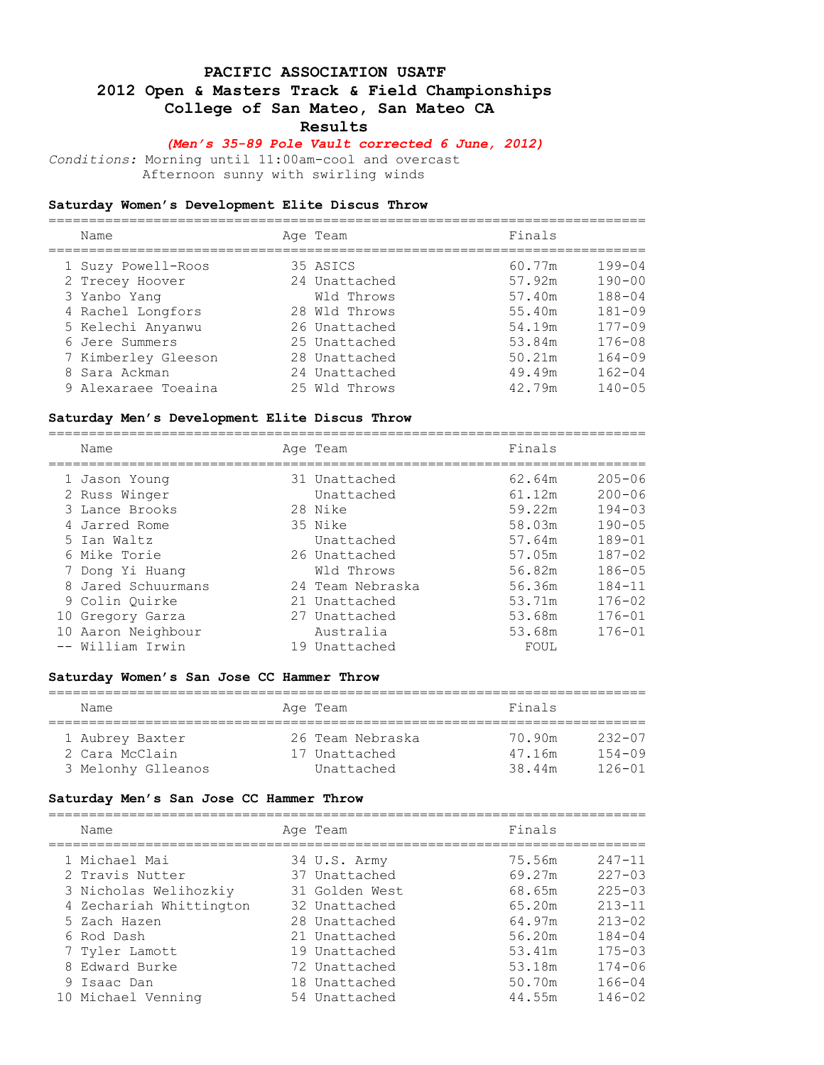### **PACIFIC ASSOCIATION USATF**

### **2012 Open & Masters Track & Field Championships**

 **College of San Mateo, San Mateo CA** 

 **Results** 

### *(Men's 35-89 Pole Vault corrected 6 June, 2012)*

*Conditions:* Morning until 11:00am-cool and overcast Afternoon sunny with swirling winds

#### **Saturday Women's Development Elite Discus Throw** ==========================================================================

| Name                | Age Team      | Finals |            |
|---------------------|---------------|--------|------------|
|                     |               |        |            |
| 1 Suzy Powell-Roos  | 35 ASICS      | 60.77m | $199 - 04$ |
| 2 Trecey Hoover     | 24 Unattached | 57.92m | $190 - 00$ |
| 3 Yanbo Yang        | Wld Throws    | 57.40m | $188 - 04$ |
| 4 Rachel Longfors   | 28 Wld Throws | 55.40m | $181 - 09$ |
| 5 Kelechi Anyanwu   | 26 Unattached | 54.19m | $177 - 09$ |
| 6 Jere Summers      | 25 Unattached | 53.84m | $176 - 08$ |
| 7 Kimberley Gleeson | 28 Unattached | 50.21m | $164 - 09$ |
| 8 Sara Ackman       | 24 Unattached | 49.49m | $162 - 04$ |
| 9 Alexaraee Toeaina | 25 Wld Throws | 42.79m | $140 - 05$ |

#### **Saturday Men's Development Elite Discus Throw**

==========================================================================

| Name               | Age Team         | Finals |            |
|--------------------|------------------|--------|------------|
| 1 Jason Young      | 31 Unattached    | 62.64m | $205 - 06$ |
| 2 Russ Winger      | Unattached       | 61.12m | $200 - 06$ |
| 3 Lance Brooks     | 28 Nike          | 59.22m | $194 - 03$ |
| 4 Jarred Rome      | 35 Nike          | 58.03m | $190 - 05$ |
| 5 Ian Waltz        | Unattached       | 57.64m | $189 - 01$ |
| 6 Mike Torie       | 26 Unattached    | 57.05m | $187 - 02$ |
| 7 Dong Yi Huang    | Wld Throws       | 56.82m | $186 - 05$ |
| 8 Jared Schuurmans | 24 Team Nebraska | 56.36m | $184 - 11$ |
| 9 Colin Ouirke     | 21 Unattached    | 53.71m | $176 - 02$ |
| 10 Gregory Garza   | 27 Unattached    | 53.68m | $176 - 01$ |
| 10 Aaron Neighbour | Australia        | 53.68m | $176 - 01$ |
| -- William Irwin   | 19 Unattached    | FOUL   |            |

#### **Saturday Women's San Jose CC Hammer Throw**

| Name               | Age Team         | Finals |            |  |  |  |  |
|--------------------|------------------|--------|------------|--|--|--|--|
| 1 Aubrey Baxter    | 26 Team Nebraska | 70.90m | $232 - 07$ |  |  |  |  |
| 2 Cara McClain     | 17 Unattached    | 47.16m | $154 - 09$ |  |  |  |  |
| 3 Melonhy Glleanos | Unattached       | 38.44m | $126 - 01$ |  |  |  |  |

#### **Saturday Men's San Jose CC Hammer Throw**

| Name                    | Age Team       | Finals |            |
|-------------------------|----------------|--------|------------|
| 1 Michael Mai           | 34 U.S. Army   | 75.56m | $247 - 11$ |
| 2 Travis Nutter         | 37 Unattached  | 69.27m | $227 - 03$ |
| 3 Nicholas Welihozkiy   | 31 Golden West | 68.65m | $225 - 03$ |
| 4 Zechariah Whittington | 32 Unattached  | 65.20m | $213 - 11$ |
| 5 Zach Hazen            | 28 Unattached  | 64.97m | $213 - 02$ |
| 6 Rod Dash              | 21 Unattached  | 56.20m | $184 - 04$ |
| 7 Tyler Lamott          | 19 Unattached  | 53.41m | $175 - 03$ |
| 8 Edward Burke          | 72 Unattached  | 53.18m | $174 - 06$ |
| 9 Isaac Dan             | 18 Unattached  | 50.70m | $166 - 04$ |
| 10 Michael Venning      | 54 Unattached  | 44.55m | $146 - 02$ |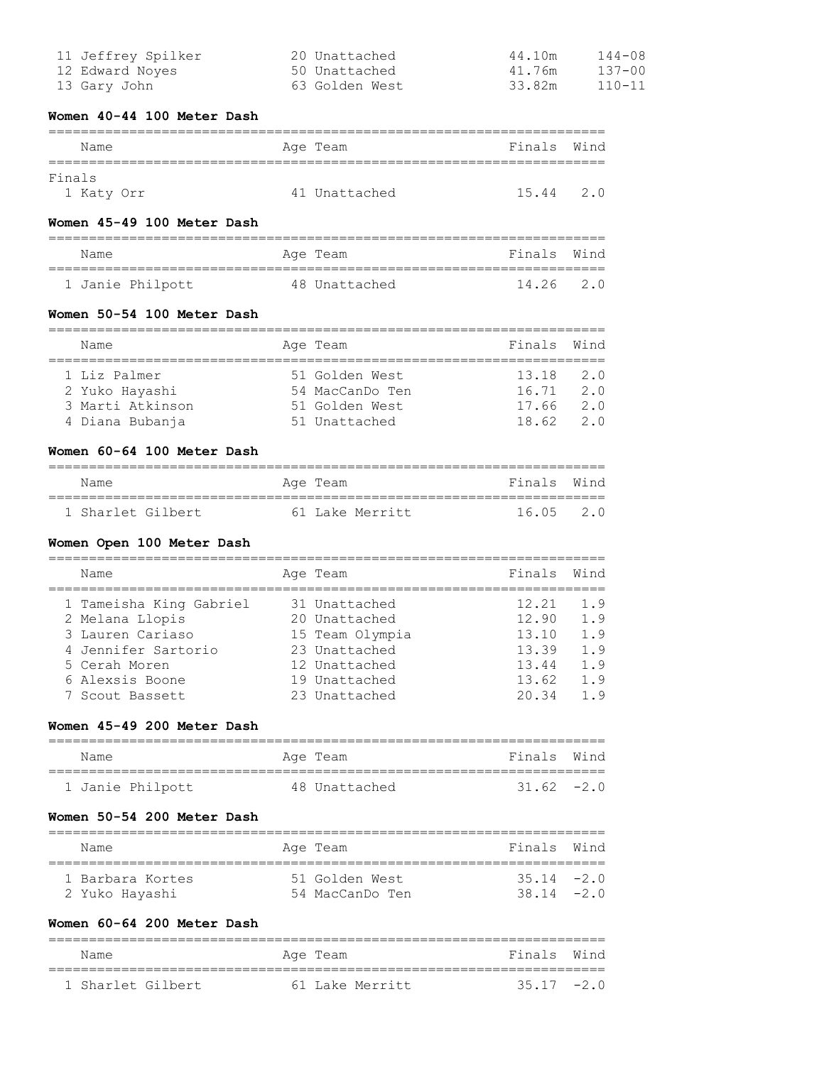| 11 Jeffrey Spilker | 20 Unattached  | 44.10m | 144-08     |
|--------------------|----------------|--------|------------|
| 12 Edward Noves    | 50 Unattached  | 41.76m | 137-00     |
| 13 Gary John       | 63 Golden West | 33.82m | $110 - 11$ |

# **Women 40-44 100 Meter Dash**

| Name       |  | Age Team      | Finals Wind |     |  |  |
|------------|--|---------------|-------------|-----|--|--|
| Finals     |  |               |             |     |  |  |
| 1 Katy Orr |  | 41 Unattached | 15.44       | 2.0 |  |  |

# **Women 45-49 100 Meter Dash**

| Name             |  | Age Team      | Finals Wind |  |  |  |
|------------------|--|---------------|-------------|--|--|--|
|                  |  |               |             |  |  |  |
| 1 Janie Philpott |  | 48 Unattached | 14.26 2.0   |  |  |  |

# **Women 50-54 100 Meter Dash**

| Name             |  | Age Team        | Finals Wind |     |  |  |
|------------------|--|-----------------|-------------|-----|--|--|
|                  |  |                 |             |     |  |  |
| 1 Liz Palmer     |  | 51 Golden West  | $13.18$ 2.0 |     |  |  |
| 2 Yuko Hayashi   |  | 54 MacCanDo Ten | 16.71       | 2.0 |  |  |
| 3 Marti Atkinson |  | 51 Golden West  | 17.66       | 2.0 |  |  |
| 4 Diana Bubanja  |  | 51 Unattached   | 18 62       | 2 O |  |  |

# **Women 60-64 100 Meter Dash**

| Name              | Age Team        | Finals Wind |  |
|-------------------|-----------------|-------------|--|
|                   |                 |             |  |
| 1 Sharlet Gilbert | 61 Lake Merritt | 16.05 2.0   |  |

### **Women Open 100 Meter Dash**

| Name                                       | Age Team                       | Finals         | Wind       |
|--------------------------------------------|--------------------------------|----------------|------------|
| 1 Tameisha King Gabriel<br>2 Melana Llopis | 31 Unattached<br>20 Unattached | 12.21<br>12.90 | 1.9<br>1.9 |
| 3 Lauren Cariaso<br>4 Jennifer Sartorio    | 15 Team Olympia                | 13.10<br>13.39 | 1.9<br>1.9 |
| 5 Cerah Moren                              | 23 Unattached<br>12 Unattached | 13.44          | 1.9        |
| 6 Alexsis Boone<br>7 Scout Bassett         | 19 Unattached<br>23 Unattached | 13.62<br>2034  | 1.9<br>19  |

### **Women 45-49 200 Meter Dash**

| Name             | Age Team      | Finals Wind  |  |  |  |  |
|------------------|---------------|--------------|--|--|--|--|
|                  |               |              |  |  |  |  |
| 1 Janie Philpott | 48 Unattached | $31.62 -2.0$ |  |  |  |  |

#### **Women 50-54 200 Meter Dash**

| Name             | Age Team        | Finals Wind  |  |
|------------------|-----------------|--------------|--|
| 1 Barbara Kortes | 51 Golden West  | $35.14 -2.0$ |  |
| 2 Yuko Hayashi   | 54 MacCanDo Ten | 38 14 $-2$ 0 |  |

### **Women 60-64 200 Meter Dash**

|  | Name              |  | Age Team        | Finals Wind  |  |  |  |
|--|-------------------|--|-----------------|--------------|--|--|--|
|  |                   |  |                 |              |  |  |  |
|  | 1 Sharlet Gilbert |  | 61 Lake Merritt | $35.17 -2.0$ |  |  |  |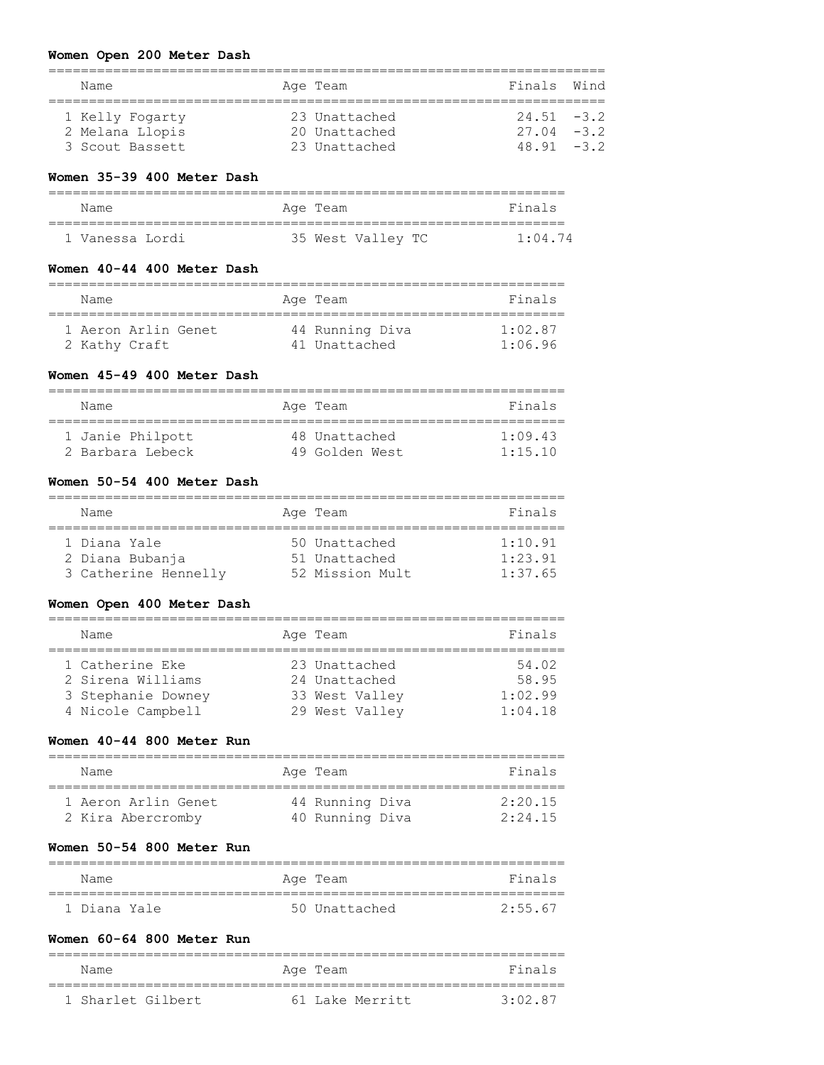### **Women Open 200 Meter Dash**

| Name            | Age Team      | Finals Wind   |  |
|-----------------|---------------|---------------|--|
|                 |               |               |  |
| 1 Kelly Fogarty | 23 Unattached | $24.51 - 3.2$ |  |
| 2 Melana Llopis | 20 Unattached | $27.04 - 3.2$ |  |
| 3 Scout Bassett | 23 Unattached | $48.91 - 3.2$ |  |

### **Women 35-39 400 Meter Dash**

| Name            | Age Team          | Finals          |  |  |  |  |
|-----------------|-------------------|-----------------|--|--|--|--|
| 1 Vanessa Lordi | 35 West Valley TC | $1 \cdot 04$ 74 |  |  |  |  |

### **Women 40-44 400 Meter Dash**

| Name                | Age Team        | Finals          |
|---------------------|-----------------|-----------------|
| 1 Aeron Arlin Genet | 44 Running Diva | $1 \cdot 02$ 87 |
| 2 Kathy Craft       | 41 Unattached   | 1:06.96         |

### **Women 45-49 400 Meter Dash**

| Name             | Age Team       | Finals          |
|------------------|----------------|-----------------|
| 1 Janie Philpott | 48 Unattached  | 1.09.43         |
| 2 Barbara Lebeck | 49 Golden West | $1 \cdot 15$ 10 |

# **Women 50-54 400 Meter Dash**

| Name                                                    | Age Team                                          | Finals                        |
|---------------------------------------------------------|---------------------------------------------------|-------------------------------|
| 1 Diana Yale<br>2 Diana Bubanja<br>3 Catherine Hennelly | 50 Unattached<br>51 Unattached<br>52 Mission Mult | 1:10.91<br>1:23.91<br>1:37.65 |

#### **Women Open 400 Meter Dash**

| Name               | Age Team       | Finals  |
|--------------------|----------------|---------|
|                    |                |         |
| 1 Catherine Eke    | 23 Unattached  | 54.02   |
| 2 Sirena Williams  | 24 Unattached  | 58.95   |
| 3 Stephanie Downey | 33 West Valley | 1:02.99 |
| 4 Nicole Campbell  | 29 West Valley | 1:04.18 |
|                    |                |         |

# **Women 40-44 800 Meter Run**

| Name                | Age Team        | Finals  |
|---------------------|-----------------|---------|
| 1 Aeron Arlin Genet | 44 Running Diva | 2:20.15 |
| 2 Kira Abercromby   | 40 Running Diva | 2:24.15 |

# **Women 50-54 800 Meter Run**

| Name         | Age Team      | Finals    |
|--------------|---------------|-----------|
| 1 Diana Yale | 50 Unattached | $2.55$ 67 |

# **Women 60-64 800 Meter Run**

| Name              | Age Team        | Finals  |
|-------------------|-----------------|---------|
| 1 Sharlet Gilbert | 61 Lake Merritt | 3.02.87 |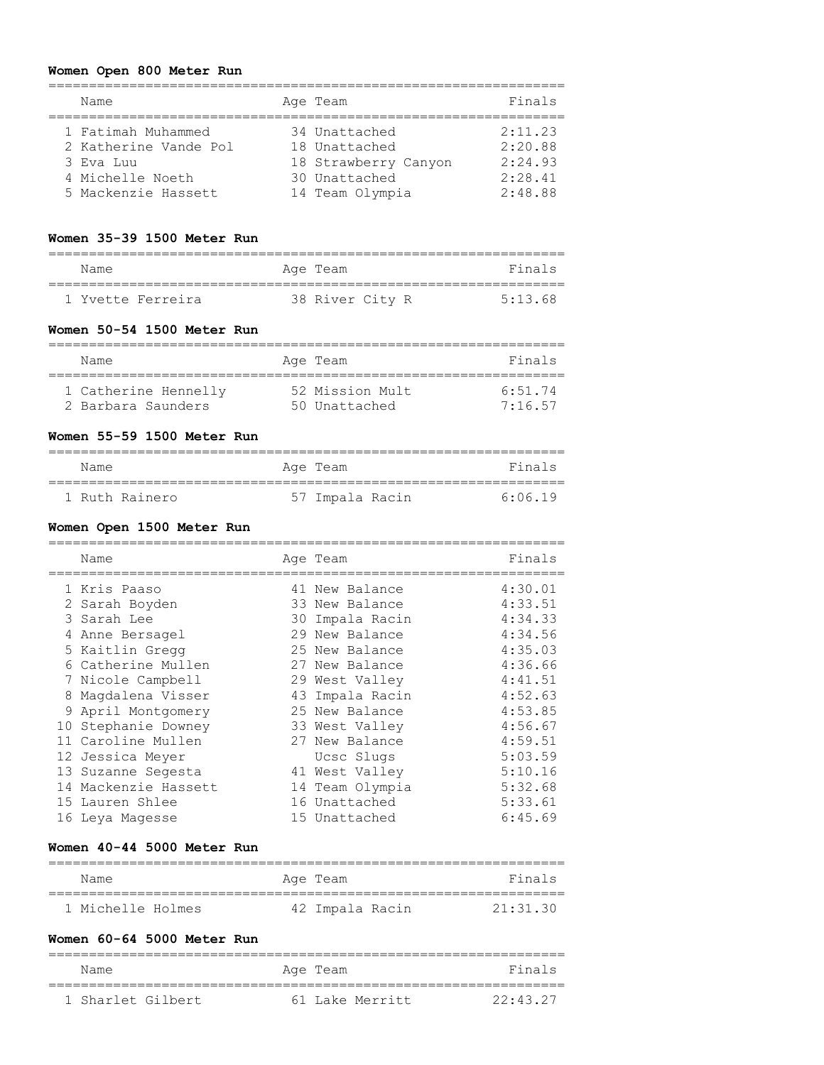#### **Women Open 800 Meter Run**

| Name                  | Age Team             | Finals  |
|-----------------------|----------------------|---------|
| 1 Fatimah Muhammed    | 34 Unattached        | 2:11.23 |
| 2 Katherine Vande Pol | 18 Unattached        | 2:20.88 |
| 3 Eva Luu             | 18 Strawberry Canyon | 2:24.93 |
| 4 Michelle Noeth      | 30 Unattached        | 2:28.41 |
| 5 Mackenzie Hassett   | 14 Team Olympia      | 2:48.88 |

### **Women 35-39 1500 Meter Run**

| Name              | Age Team        | Finals  |
|-------------------|-----------------|---------|
| 1 Yvette Ferreira | 38 River City R | 5:13.68 |

#### **Women 50-54 1500 Meter Run**

| Name                                       | Age Team                         | Finals               |
|--------------------------------------------|----------------------------------|----------------------|
| 1 Catherine Hennelly<br>2 Barbara Saunders | 52 Mission Mult<br>50 Unattached | $6.51$ 74<br>7:16.57 |

### **Women 55-59 1500 Meter Run**

| Name           | Age Team        | Finals  |
|----------------|-----------------|---------|
| 1 Ruth Rainero | 57 Impala Racin | 6:06.19 |

### **Women Open 1500 Meter Run**

|   | Name                 | Age Team        | Finals  |
|---|----------------------|-----------------|---------|
|   | 1 Kris Paaso         | 41 New Balance  | 4:30.01 |
|   | 2 Sarah Boyden       | 33 New Balance  | 4:33.51 |
|   | 3 Sarah Lee          | 30 Impala Racin | 4:34.33 |
| 4 | Anne Bersagel        | 29 New Balance  | 4:34.56 |
|   | 5 Kaitlin Gregg      | 25 New Balance  | 4:35.03 |
|   | 6 Catherine Mullen   | 27 New Balance  | 4:36.66 |
|   | 7 Nicole Campbell    | 29 West Valley  | 4:41.51 |
|   | 8 Maqdalena Visser   | 43 Impala Racin | 4:52.63 |
|   | 9 April Montgomery   | 25 New Balance  | 4:53.85 |
|   | 10 Stephanie Downey  | 33 West Valley  | 4:56.67 |
|   | 11 Caroline Mullen   | 27 New Balance  | 4:59.51 |
|   | 12 Jessica Meyer     | Ucsc Slugs      | 5:03.59 |
|   | 13 Suzanne Segesta   | 41 West Valley  | 5:10.16 |
|   | 14 Mackenzie Hassett | 14 Team Olympia | 5:32.68 |
|   | 15 Lauren Shlee      | 16 Unattached   | 5:33.61 |
|   | 16 Leya Maqesse      | 15 Unattached   | 6:45.69 |
|   |                      |                 |         |

### **Women 40-44 5000 Meter Run**

| Name              | Age Team        | Finals   |
|-------------------|-----------------|----------|
| 1 Michelle Holmes | 42 Impala Racin | 21:31:30 |

# **Women 60-64 5000 Meter Run**

| Name              | Age Team        | Finals  |
|-------------------|-----------------|---------|
| 1 Sharlet Gilbert | 61 Lake Merritt | 22.4327 |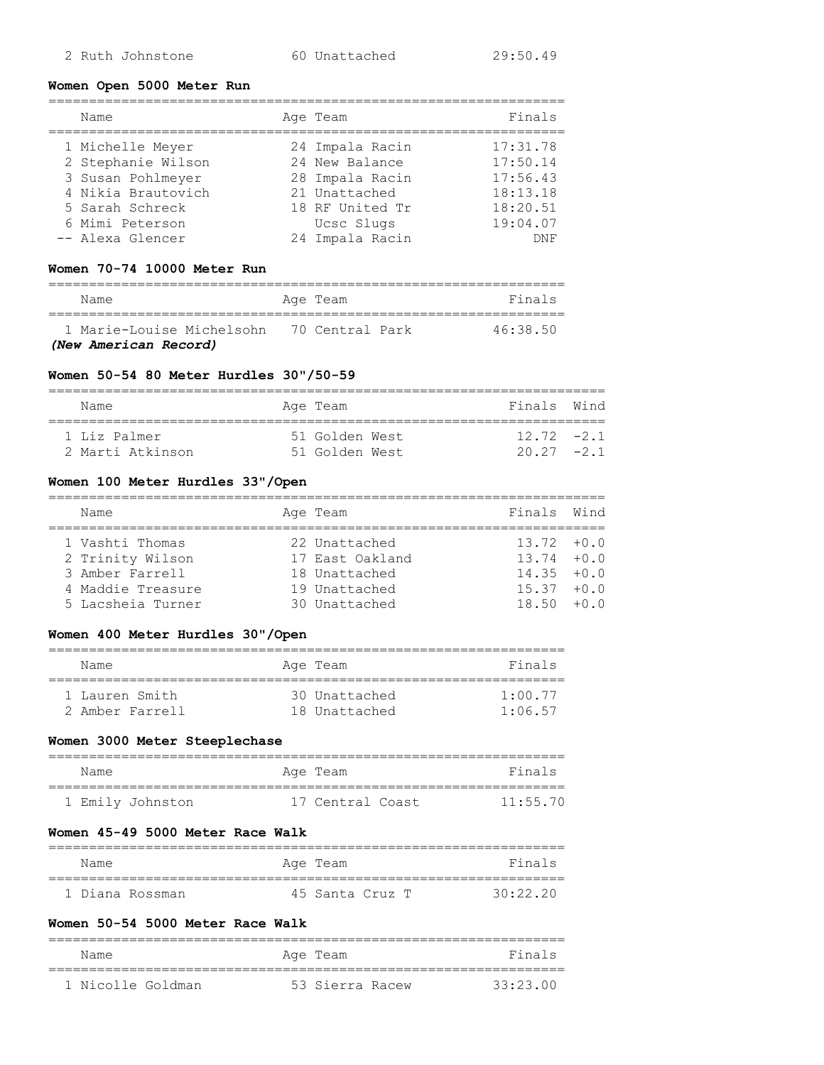# **Women Open 5000 Meter Run**

| Name                                                                                                                    | Age Team                                                                                               | Finals                                                               |
|-------------------------------------------------------------------------------------------------------------------------|--------------------------------------------------------------------------------------------------------|----------------------------------------------------------------------|
| 1 Michelle Meyer<br>2 Stephanie Wilson<br>3 Susan Pohlmeyer<br>4 Nikia Brautovich<br>5 Sarah Schreck<br>6 Mimi Peterson | 24 Impala Racin<br>24 New Balance<br>28 Impala Racin<br>21 Unattached<br>18 RF United Tr<br>Ucsc Slugs | 17:31.78<br>17:50.14<br>17:56.43<br>18:13.18<br>18:20.51<br>19:04.07 |
| -- Alexa Glencer                                                                                                        | 24 Impala Racin                                                                                        | <b>DNF</b>                                                           |

# **Women 70-74 10000 Meter Run**

| Name                                        | Age Team | Finals   |
|---------------------------------------------|----------|----------|
| 1 Marie-Louise Michelsohn - 70 Central Park |          | 46.38.50 |
| (New American Record)                       |          |          |

### **Women 50-54 80 Meter Hurdles 30"/50-59**

| Name                             | Age Team                         | Finals Wind                   |  |
|----------------------------------|----------------------------------|-------------------------------|--|
| 1 Liz Palmer<br>2 Marti Atkinson | 51 Golden West<br>51 Golden West | $12\ 72\ -21$<br>$20.27 -2.1$ |  |

# **Women 100 Meter Hurdles 33"/Open**

| Name                                                                                             | Age Team                                                                            | Finals Wind                                                                       |  |
|--------------------------------------------------------------------------------------------------|-------------------------------------------------------------------------------------|-----------------------------------------------------------------------------------|--|
| 1 Vashti Thomas<br>2 Trinity Wilson<br>3 Amber Farrell<br>4 Maddie Treasure<br>5 Lacsheia Turner | 22 Unattached<br>17 East Oakland<br>18 Unattached<br>19 Unattached<br>30 Unattached | $13.72 + 0.0$<br>$13.74 + 0.0$<br>$14.35 + 0.0$<br>$15.37 + 0.0$<br>$18.50 + 0.0$ |  |

# **Women 400 Meter Hurdles 30"/Open**

| Name |                                   | Age Team                       | Finals                     |
|------|-----------------------------------|--------------------------------|----------------------------|
|      | 1 Lauren Smith<br>2 Amber Farrell | 30 Unattached<br>18 Unattached | $1 \cdot 00$ 77<br>1:06.57 |

# **Women 3000 Meter Steeplechase**

| Name             | Age Team         | Finals   |
|------------------|------------------|----------|
| 1 Emily Johnston | 17 Central Coast | 11:55.70 |

# **Women 45-49 5000 Meter Race Walk**

| Name            | Age Team        | Finals   |
|-----------------|-----------------|----------|
| 1 Diana Rossman | 45 Santa Cruz T | 30.22.20 |

# **Women 50-54 5000 Meter Race Walk**

| Name              | Age Team        | Finals   |
|-------------------|-----------------|----------|
| 1 Nicolle Goldman | 53 Sierra Racew | 33.23 00 |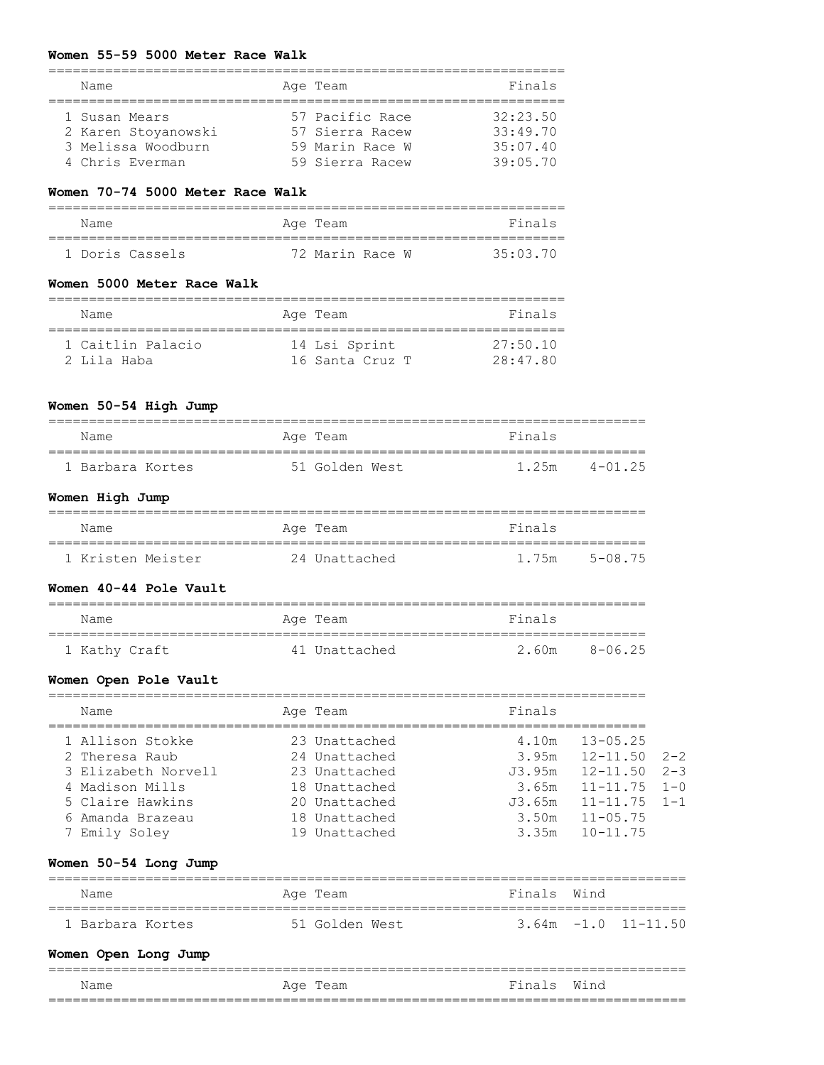#### **Women 55-59 5000 Meter Race Walk**

| Name                | Age Team        | Finals   |
|---------------------|-----------------|----------|
|                     |                 |          |
| 1 Susan Mears       | 57 Pacific Race | 32:23.50 |
| 2 Karen Stoyanowski | 57 Sierra Racew | 33:49.70 |
| 3 Melissa Woodburn  | 59 Marin Race W | 35:07.40 |
| 4 Chris Everman     | 59 Sierra Racew | 39:05.70 |

### **Women 70-74 5000 Meter Race Walk**

| Name            | Age Team        | Finals   |
|-----------------|-----------------|----------|
|                 |                 |          |
| 1 Doris Cassels | 72 Marin Race W | 35:03.70 |

#### **Women 5000 Meter Race Walk**

| Name              | Age Team        | Finals   |
|-------------------|-----------------|----------|
| 1 Caitlin Palacio | 14 Lsi Sprint   | 27:50.10 |
| 2 Lila Haba       | 16 Santa Cruz T | 28:47.80 |

### **Women 50-54 High Jump**

| Name             | Age Team       | Finals           |  |  |  |  |
|------------------|----------------|------------------|--|--|--|--|
| 1 Barbara Kortes | 51 Golden West | 4-01 25<br>1.25m |  |  |  |  |

# **Women High Jump**

| Name              | Age Team      | Finals           |  |
|-------------------|---------------|------------------|--|
|                   |               |                  |  |
| 1 Kristen Meister | 24 Unattached | 5-08 75<br>1.75m |  |

#### **Women 40-44 Pole Vault**

| Name          | Age Team      | Finals |        |  |  |  |  |
|---------------|---------------|--------|--------|--|--|--|--|
| 1 Kathy Craft | 41 Unattached | 2.60m  | 8-0625 |  |  |  |  |

### **Women Open Pole Vault**

| Name                | Age Team      | Finals                         |  |
|---------------------|---------------|--------------------------------|--|
| 1 Allison Stokke    | 23 Unattached | $13 - 05.25$<br>4.10m          |  |
| 2 Theresa Raub      | 24 Unattached | $3.95m$ $12-11.50$ $2-2$       |  |
| 3 Elizabeth Norvell | 23 Unattached | $12 - 11.50$ $2 - 3$<br>J3.95m |  |
| 4 Madison Mills     | 18 Unattached | $11 - 11.75$ $1 - 0$<br>3.65m  |  |
| 5 Claire Hawkins    | 20 Unattached | $11 - 11.75$ $1 - 1$<br>J3.65m |  |
| 6 Amanda Brazeau    | 18 Unattached | $11 - 05.75$<br>3.50m          |  |
| 7 Emily Soley       | 19 Unattached | $10 - 11.75$<br>3.35m          |  |

### **Women 50-54 Long Jump**

| Name             | Age Team       | Finals Wind |                       |  |  |  |
|------------------|----------------|-------------|-----------------------|--|--|--|
| 1 Barbara Kortes | 51 Golden West |             | $3.64m -1.0 11-11.50$ |  |  |  |

### **Women Open Long Jump**

|      |             |                                 | ___  |
|------|-------------|---------------------------------|------|
| Name | Age<br>'eam | Fina <sup>:</sup><br>$\epsilon$ | Wind |
|      |             |                                 |      |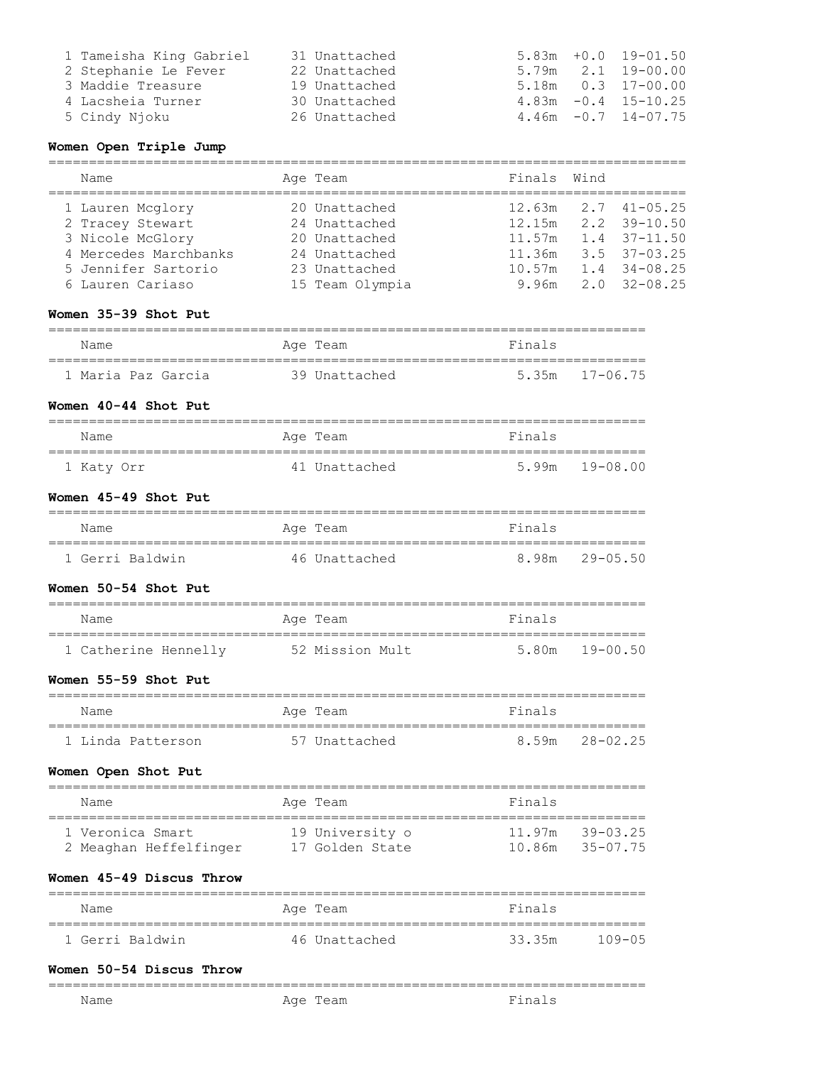| 1 Tameisha King Gabriel | 31 Unattached | $5.83m + 0.0 19 - 01.50$   |
|-------------------------|---------------|----------------------------|
| 2 Stephanie Le Fever    | 22 Unattached | $5.79m$ $2.1$ $19-00.00$   |
| 3 Maddie Treasure       | 19 Unattached | $5.18m$ 0.3 17-00.00       |
| 4 Lacsheia Turner       | 30 Unattached | $4.83m - 0.4$ 15-10.25     |
| 5 Cindy Njoku           | 26 Unattached | $4.46m - 0.7$ $14 - 07.75$ |

### **Women Open Triple Jump**

| Name                  | Age Team        | Finals Wind |                           |
|-----------------------|-----------------|-------------|---------------------------|
| 1 Lauren Mcglory      | 20 Unattached   |             | $12.63m$ $2.7$ $41-05.25$ |
| 2 Tracey Stewart      | 24 Unattached   |             | $12.15m$ $2.2$ $39-10.50$ |
| 3 Nicole McGlory      | 20 Unattached   |             | $11.57m$ 1.4 37-11.50     |
| 4 Mercedes Marchbanks | 24 Unattached   | 11.36m      | $3.5$ $37-03.25$          |
| 5 Jennifer Sartorio   | 23 Unattached   | 10.57m      | $1.4$ $34-08.25$          |
| 6 Lauren Cariaso      | 15 Team Olympia |             | $9.96m$ $2.0$ $32-08.25$  |

### **Women 35-39 Shot Put**

| Name               | Age Team      | Finals             |  |  |  |
|--------------------|---------------|--------------------|--|--|--|
|                    |               |                    |  |  |  |
| 1 Maria Paz Garcia | 39 Unattached | $5.35m$ $17-06.75$ |  |  |  |

### **Women 40-44 Shot Put**

| Name       | Age Team      | Finals             |  |  |  |
|------------|---------------|--------------------|--|--|--|
|            | 41 Unattached | $5.99m$ $19-08.00$ |  |  |  |
| 1 Katy Orr |               |                    |  |  |  |

#### **Women 45-49 Shot Put**

| Name            | Age Team      | Finals            |  |  |  |
|-----------------|---------------|-------------------|--|--|--|
|                 |               |                   |  |  |  |
| 1 Gerri Baldwin | 46 Unattached | 8.98m<br>29-05 50 |  |  |  |

# **Women 50-54 Shot Put**

| Name                 | Age Team        | Finals         |
|----------------------|-----------------|----------------|
|                      |                 |                |
| 1 Catherine Hennelly | 52 Mission Mult | 5.80m 19-00.50 |

#### **Women 55-59 Shot Put**

| Name              | Age Team      | Finals         |  |  |  |
|-------------------|---------------|----------------|--|--|--|
| 1 Linda Patterson | 57 Unattached | 8.59m 28-02.25 |  |  |  |

### **Women Open Shot Put**

| Name                                       | Age Team                           | Finals                                 |
|--------------------------------------------|------------------------------------|----------------------------------------|
| 1 Veronica Smart<br>2 Meaghan Heffelfinger | 19 University o<br>17 Golden State | $11.97m$ $39-03.25$<br>10.86m 35-07.75 |

### **Women 45-49 Discus Throw**

| Name            | Age Team      | Finals |        |
|-----------------|---------------|--------|--------|
| 1 Gerri Baldwin | 46 Unattached | 33.35m | 109-05 |

==========================================================================

#### **Women 50-54 Discus Throw**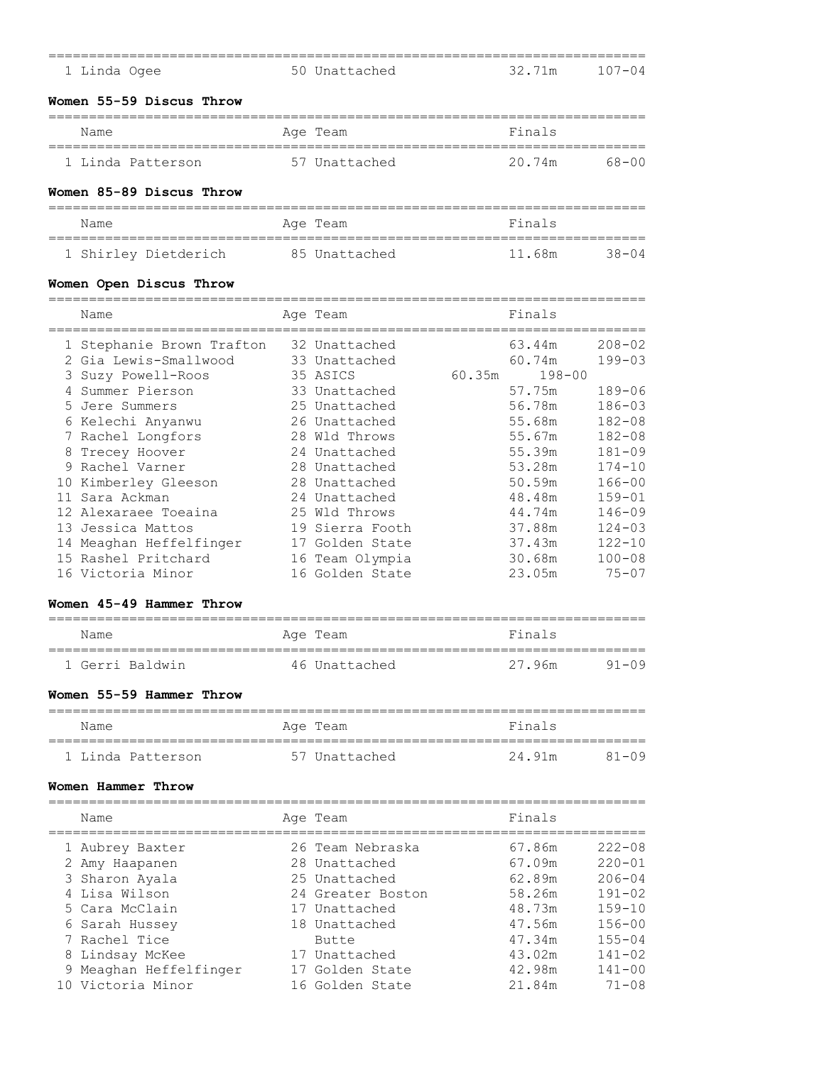|   | 1 Linda Ogee                                                           | 50 Unattached                                   | 32.71m                     | $107 - 04$                             |
|---|------------------------------------------------------------------------|-------------------------------------------------|----------------------------|----------------------------------------|
|   | Women 55-59 Discus Throw                                               |                                                 |                            |                                        |
|   | Name                                                                   | Age Team                                        | Finals                     |                                        |
|   | 1 Linda Patterson                                                      | 57 Unattached                                   | 20.74m                     | $68 - 00$                              |
|   | Women 85-89 Discus Throw                                               |                                                 |                            |                                        |
|   | Name<br>=====================================                          | Age Team                                        | Finals                     |                                        |
|   | 1 Shirley Dietderich                                                   | 85 Unattached                                   | 11.68m                     | $38 - 04$                              |
|   | Women Open Discus Throw<br>Name                                        | Age Team                                        | Finals                     |                                        |
| 3 | 1 Stephanie Brown Trafton<br>2 Gia Lewis-Smallwood<br>Suzy Powell-Roos | 32 Unattached<br>33 Unattached<br>35 ASICS      | 63.44m<br>60.74m<br>60.35m | $208 - 02$<br>$199 - 03$<br>$198 - 00$ |
| 4 | Summer Pierson<br>5 Jere Summers<br>6 Kelechi Anyanwu                  | 33 Unattached<br>25 Unattached<br>26 Unattached | 57.75m<br>56.78m<br>55.68m | $189 - 06$<br>$186 - 03$<br>$182 - 08$ |
| 8 | 7 Rachel Longfors<br>Trecey Hoover<br>9 Rachel Varner                  | 28 Wld Throws<br>24 Unattached<br>28 Unattached | 55.67m<br>55.39m<br>53.28m | $182 - 08$<br>$181 - 09$<br>$174 - 10$ |
|   | 10 Kimberley Gleeson<br>11 Sara Ackman<br>12 Alexaraee Toeaina         | 28 Unattached<br>24 Unattached<br>25 Wld Throws | 50.59m<br>48.48m<br>44.74m | $166 - 00$<br>$159 - 01$<br>$146 - 09$ |
|   | 13 Jessica Mattos<br>14 Meaghan Heffelfinger                           | 19 Sierra Footh<br>17 Golden State              | 37.88m<br>37.43m           | $124 - 03$<br>$122 - 10$               |
|   | 15 Rashel Pritchard                                                    | 16 Team Olympia                                 | 30.68m                     | $100 - 08$                             |

# **Women 45-49 Hammer Throw**

| Name            | Age Team      | Finals |           |
|-----------------|---------------|--------|-----------|
| 1 Gerri Baldwin | 46 Unattached | 27.96m | $91 - 09$ |

### **Women 55-59 Hammer Throw**

| Name              | Age Team      | Finals |           |
|-------------------|---------------|--------|-----------|
|                   |               |        |           |
| 1 Linda Patterson | 57 Unattached | 24.91m | $81 - 09$ |

# **Women Hammer Throw**

| Name                   | Age Team          | Finals |            |
|------------------------|-------------------|--------|------------|
| 1 Aubrey Baxter        | 26 Team Nebraska  | 67.86m | $222 - 08$ |
| 2 Amy Haapanen         | 28 Unattached     | 67.09m | $220 - 01$ |
| 3 Sharon Ayala         | 25 Unattached     | 62.89m | $206 - 04$ |
| 4 Lisa Wilson          | 24 Greater Boston | 58.26m | $191 - 02$ |
| 5 Cara McClain         | 17 Unattached     | 48.73m | $159 - 10$ |
| 6 Sarah Hussey         | 18 Unattached     | 47.56m | $156 - 00$ |
| 7 Rachel Tice          | Butte             | 47.34m | $155 - 04$ |
| 8 Lindsay McKee        | 17 Unattached     | 43.02m | $141 - 02$ |
| 9 Meaghan Heffelfinger | 17 Golden State   | 42.98m | $141 - 00$ |
| 10 Victoria Minor      | 16 Golden State   | 21.84m | $71 - 08$  |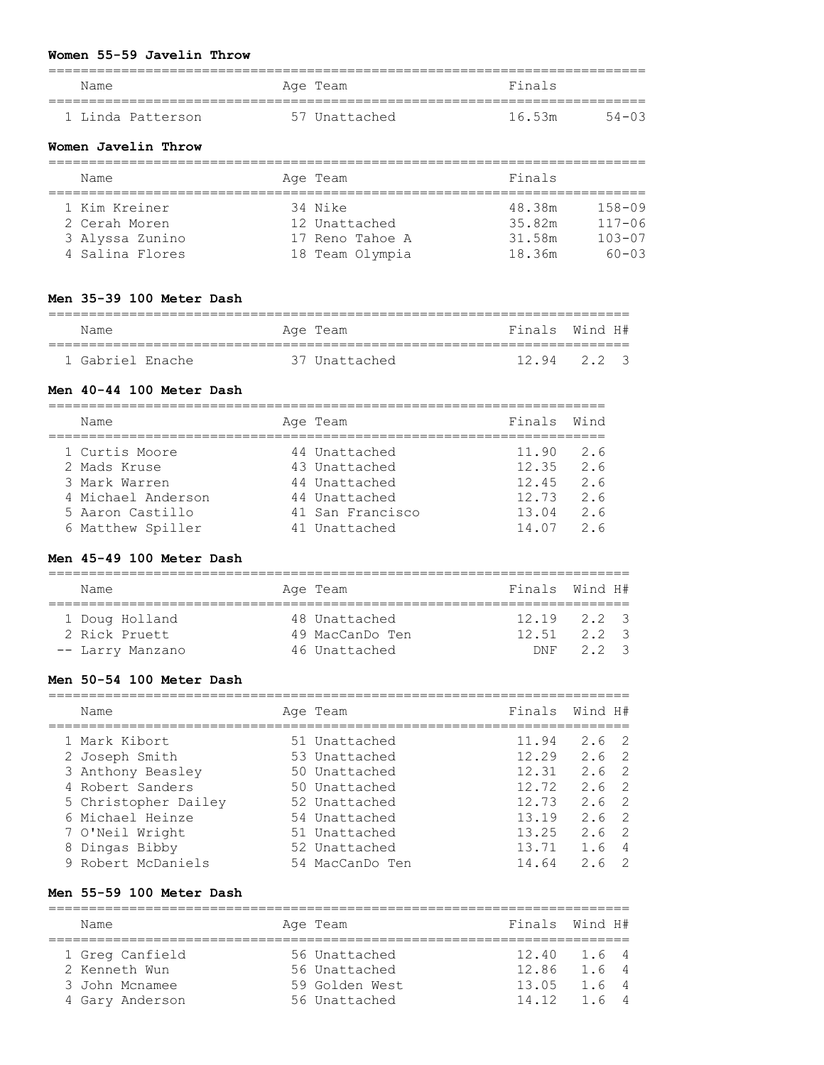#### **Women 55-59 Javelin Throw**

| Name              | Age Team      | Finals          |
|-------------------|---------------|-----------------|
| 1 Linda Patterson | 57 Unattached | 16.53m<br>54-03 |

#### **Women Javelin Throw**

| Name            | Age Team        | Finals |            |
|-----------------|-----------------|--------|------------|
|                 |                 |        |            |
| 1 Kim Kreiner   | 34 Nike         | 48.38m | $158 - 09$ |
| 2 Cerah Moren   | 12 Unattached   | 35.82m | $117 - 06$ |
| 3 Alyssa Zunino | 17 Reno Tahoe A | 31.58m | $103 - 07$ |
| 4 Salina Flores | 18 Team Olympia | 18.36m | $60 - 03$  |

### **Men 35-39 100 Meter Dash**

| Name             | Age Team      | Finals Wind H#  |  |
|------------------|---------------|-----------------|--|
| 1 Gabriel Enache | 37 Unattached | $12.94$ $2.2$ 3 |  |

#### **Men 40-44 100 Meter Dash**

| Name               | Age Team         | Finals Wind |     |
|--------------------|------------------|-------------|-----|
| 1 Curtis Moore     | 44 Unattached    | 11.90       | 2.6 |
| 2 Mads Kruse       | 43 Unattached    | 12.35       | 2.6 |
| 3 Mark Warren      | 44 Unattached    | 12.45       | 2.6 |
| 4 Michael Anderson | 44 Unattached    | 12.73       | 2.6 |
| 5 Aaron Castillo   | 41 San Francisco | 13.04       | 2.6 |
| 6 Matthew Spiller  | 41 Unattached    | 14.07       | 26  |

#### **Men 45-49 100 Meter Dash**

| Name             | Age Team        | Finals Wind H#  |          |  |
|------------------|-----------------|-----------------|----------|--|
| 1 Doug Holland   | 48 Unattached   | $12.19$ $2.2$ 3 |          |  |
| 2 Rick Pruett    | 49 MacCanDo Ten | 12512223        |          |  |
| -- Larry Manzano | 46 Unattached   |                 | DNF 22 3 |  |

#### **Men 50-54 100 Meter Dash**

| Name                 | Age Team        | Finals | Wind H#       |                |
|----------------------|-----------------|--------|---------------|----------------|
| 1 Mark Kibort        | 51 Unattached   | 11.94  | 2.6 2         |                |
| 2 Joseph Smith       | 53 Unattached   | 12.29  | $2.6 \quad 2$ |                |
| 3 Anthony Beasley    | 50 Unattached   | 12.31  | $2.6 \quad 2$ |                |
| 4 Robert Sanders     | 50 Unattached   | 12.72  | $2.6 \quad 2$ |                |
| 5 Christopher Dailey | 52 Unattached   | 12.73  | $2.6 \t2$     |                |
| 6 Michael Heinze     | 54 Unattached   | 13.19  | $2.6 \t2$     |                |
| 7 O'Neil Wright      | 51 Unattached   | 13.25  | $2.6 \quad 2$ |                |
| 8 Dingas Bibby       | 52 Unattached   | 13.71  | 1.6           | $\overline{4}$ |
| 9 Robert McDaniels   | 54 MacCanDo Ten | 14.64  | 2.6           |                |

#### **Men 55-59 100 Meter Dash**

======================================================================== Name **Age Team** Age Team Finals Wind H# ======================================================================== 1 Greg Canfield 56 Unattached 12.40 1.6 4 2 Kenneth Wun 56 Unattached 12.86 1.6 4 3 John Mcnamee 59 Golden West 13.05 1.6 4 4 Gary Anderson 56 Unattached 14.12 1.6 4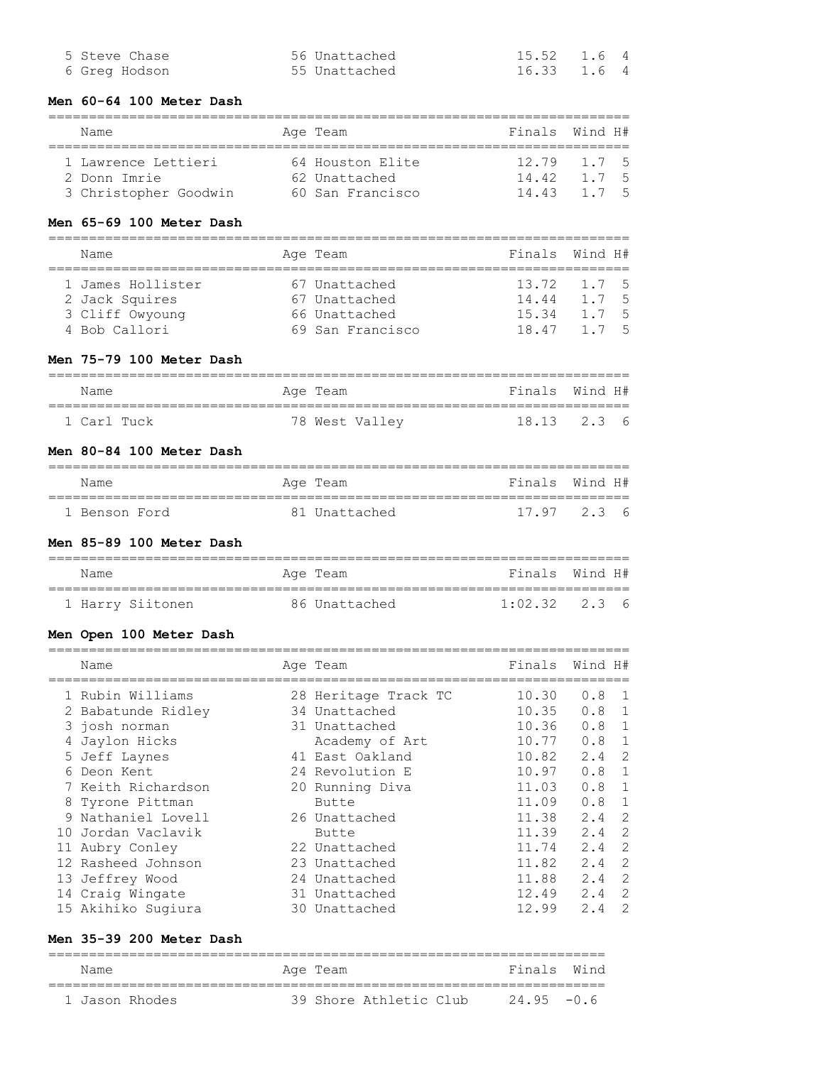| 5 Steve Chase | 56 Unattached | 15.52 1.6 4 |  |
|---------------|---------------|-------------|--|
| 6 Greg Hodson | 55 Unattached | 16.33 1.6 4 |  |

#### **Men 60-64 100 Meter Dash**

#### ======================================================================== Name **Age Team** Age Team Finals Wind H#

| 1 Lawrence Lettieri   | 64 Houston Elite | 12.79 1.7 5 |  |
|-----------------------|------------------|-------------|--|
| 2 Donn Imrie          | 62 Unattached    | 14.42 1.7 5 |  |
| 3 Christopher Goodwin | 60 San Francisco | 14.43 1.7 5 |  |

### **Men 65-69 100 Meter Dash**

======================================================================== Name **Age Team** Age Team Finals Wind H# ======================================================================== 1 James Hollister 67 Unattached 13.72 1.7 5 2 Jack Squires 67 Unattached 14.44 1.7 5 3 Cliff Owyoung 66 Unattached 15.34 1.7 5 4 Bob Callori 69 San Francisco 18.47 1.7 5

#### **Men 75-79 100 Meter Dash**

| Name        |  | Age Team |                | Finals Wind H# |  |
|-------------|--|----------|----------------|----------------|--|
|             |  |          |                |                |  |
| 1 Carl Tuck |  |          | 78 West Valley | 18.13 2.3 6    |  |

### **Men 80-84 100 Meter Dash**

| Name |               | Age Team      | Finals Wind H#  |  |
|------|---------------|---------------|-----------------|--|
|      |               |               |                 |  |
|      | 1 Benson Ford | 81 Unattached | $17.97$ $2.3$ 6 |  |

#### **Men 85-89 100 Meter Dash**

| Name             | Age Team      | Finals Wind H#    |
|------------------|---------------|-------------------|
|                  |               |                   |
| 1 Harry Siitonen | 86 Unattached | $1:02.32$ $2.3$ 6 |

#### **Men Open 100 Meter Dash**

| Name               | Age Team             | Finals | Wind H# |                |
|--------------------|----------------------|--------|---------|----------------|
| 1 Rubin Williams   | 28 Heritage Track TC | 10.30  | 0.8     | $\overline{1}$ |
| 2 Babatunde Ridley | 34 Unattached        | 10.35  | 0.8     | 1              |
| 3 josh norman      | 31 Unattached        | 10.36  | 0.8     |                |
| 4 Jaylon Hicks     | Academy of Art       | 10.77  | 0.8     |                |
| 5 Jeff Laynes      | 41 East Oakland      | 10.82  | 2.4     | 2              |
| 6 Deon Kent        | 24 Revolution E      | 10.97  | 0.8     | 1              |
| 7 Keith Richardson | 20 Running Diva      | 11.03  | 0.8     | 1              |
| 8 Tyrone Pittman   | Butte                | 11.09  | 0.8     | 1              |
| 9 Nathaniel Lovell | 26 Unattached        | 11.38  | 2.4     | $\mathcal{P}$  |
| 10 Jordan Vaclavik | Butte                | 11.39  | 2.4     | $\mathcal{L}$  |
| 11 Aubry Conley    | 22 Unattached        | 11.74  | 2.4     | 2              |
| 12 Rasheed Johnson | 23 Unattached        | 11.82  | 2.4     | 2              |
| 13 Jeffrey Wood    | 24 Unattached        | 11.88  | 2.4     | $\mathcal{L}$  |
| 14 Craig Wingate   | 31 Unattached        | 12.49  | 2.4     | $\mathcal{L}$  |
| 15 Akihiko Sugiura | 30 Unattached        | 12.99  | 2.4     | $\mathcal{P}$  |

### **Men 35-39 200 Meter Dash**

===================================================================== Name **Age Team** Age Team Finals Wind ===================================================================== 1 Jason Rhodes 39 Shore Athletic Club 24.95 -0.6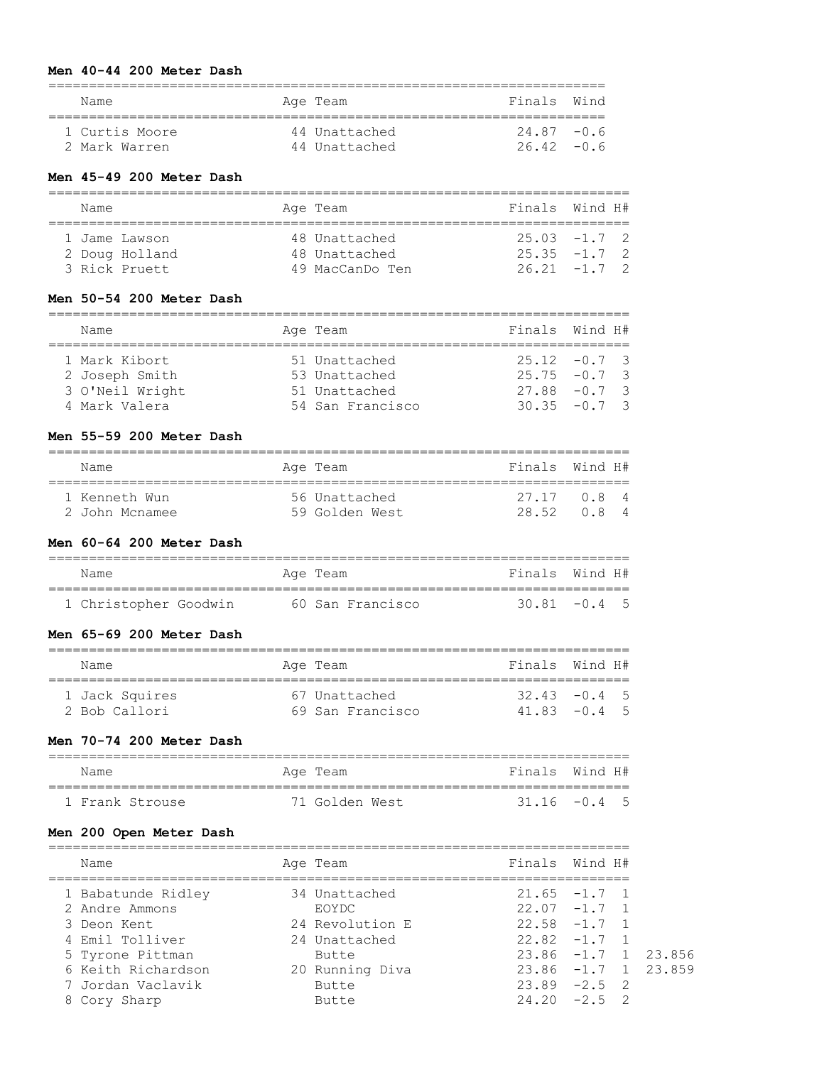#### **Men 40-44 200 Meter Dash**

| Name           | Age Team      | Finals Wind |  |
|----------------|---------------|-------------|--|
| 1 Curtis Moore | 44 Unattached | $2487 - 06$ |  |
| 2 Mark Warren  | 44 Unattached | 26.42 - 0.6 |  |

### **Men 45-49 200 Meter Dash**

| Name                           |                | Age Team                                          | Finals Wind H#                                     |  |
|--------------------------------|----------------|---------------------------------------------------|----------------------------------------------------|--|
| 1 Jame Lawson<br>3 Rick Pruett | 2 Doug Holland | 48 Unattached<br>48 Unattached<br>49 MacCanDo Ten | $25.03 -1.7$ 2<br>$25.35 -1.7$ 2<br>$26.21 -1.7$ 2 |  |

#### **Men 50-54 200 Meter Dash**

| Name            | Age Team         | Finals Wind H#  |
|-----------------|------------------|-----------------|
| 1 Mark Kibort   | 51 Unattached    | $25.12 -0.7$ 3  |
| 2 Joseph Smith  | 53 Unattached    | $25.75 - 0.7$ 3 |
| 3 O'Neil Wright | 51 Unattached    | $27.88 - 0.7$ 3 |
| 4 Mark Valera   | 54 San Francisco | $30.35 - 0.7$ 3 |

#### **Men 55-59 200 Meter Dash**

| Name           | Age Team       | Finals Wind H# |       |  |
|----------------|----------------|----------------|-------|--|
|                |                |                |       |  |
|                |                |                |       |  |
| 1 Kenneth Wun  | 56 Unattached  | 27 17          | 0 8 4 |  |
| 2 John Mcnamee | 59 Golden West | 28.52          | 084   |  |

========================================================================

#### **Men 60-64 200 Meter Dash**

| Name                  | Age Team         | Finals Wind H#  |
|-----------------------|------------------|-----------------|
|                       |                  |                 |
| 1 Christopher Goodwin | 60 San Francisco | $30.81 - 0.4$ 5 |

#### **Men 65-69 200 Meter Dash**

| Name           | Age Team |                  | Finals Wind H#   |  |
|----------------|----------|------------------|------------------|--|
| 1 Jack Squires |          | 67 Unattached    | $32$ 43 $-0$ 4 5 |  |
| 2 Bob Callori  |          | 69 San Francisco | $4183 - 045$     |  |

### **Men 70-74 200 Meter Dash**

| Name            | Age Team       | Finals Wind H#  |  |
|-----------------|----------------|-----------------|--|
| 1 Frank Strouse | 71 Golden West | $31.16 - 0.4$ 5 |  |

### **Men 200 Open Meter Dash**

| Name               | Age Team        | Finals Wind H#        |  |
|--------------------|-----------------|-----------------------|--|
| 1 Babatunde Ridley | 34 Unattached   | $21.65 -1.7 1$        |  |
| 2 Andre Ammons     | EOYDC.          | $22.07 - 1.7 1$       |  |
| 3 Deon Kent        | 24 Revolution E | $22.58 - 1.7 1$       |  |
| 4 Emil Tolliver    | 24 Unattached   | $22.82 -1.7 1$        |  |
| 5 Tyrone Pittman   | Butte           | $23.86 -1.7 1 23.856$ |  |
| 6 Keith Richardson | 20 Running Diva | $23.86 -1.7 1 23.859$ |  |
| 7 Jordan Vaclavik  | Butte           | $23.89 - 2.5$ 2       |  |
| 8 Cory Sharp       | Butte           | $24.20 -2.5$ 2        |  |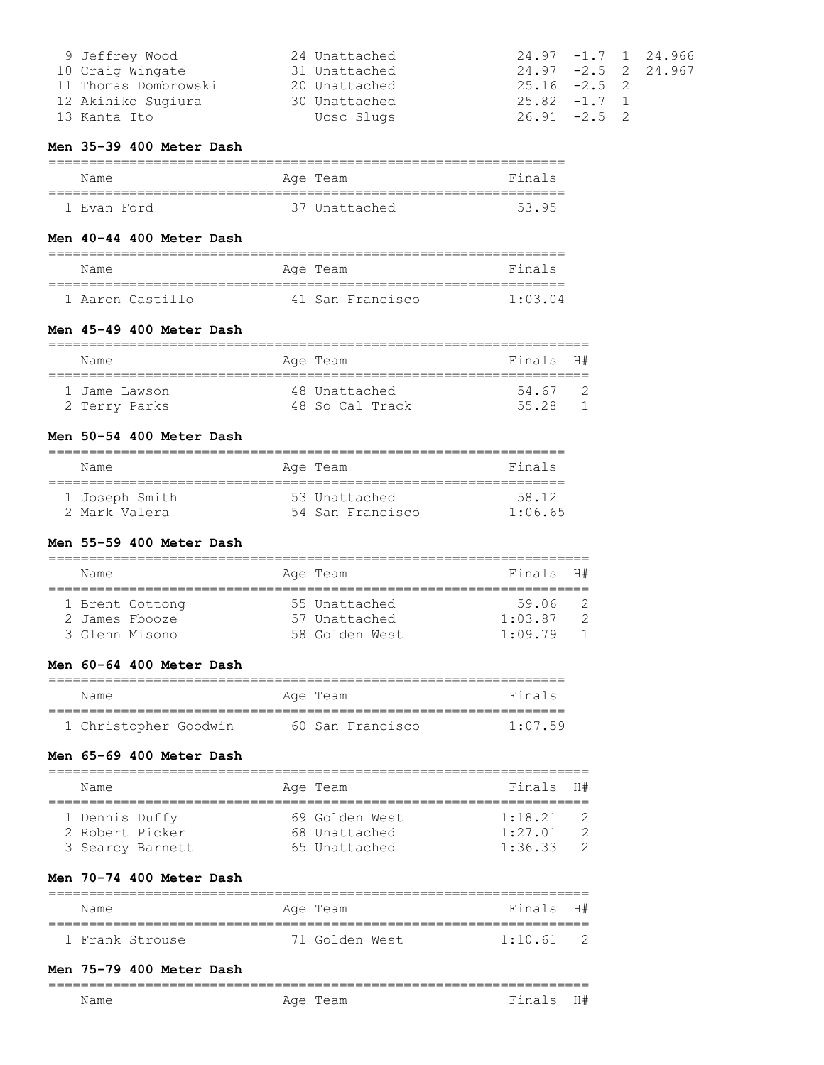| 9 Jeffrey Wood       | 24 Unattached |                 |  | $24.97 - 1.7 1 24.966$ |
|----------------------|---------------|-----------------|--|------------------------|
| 10 Craig Wingate     | 31 Unattached |                 |  | $24.97 - 2.5$ 2 24.967 |
| 11 Thomas Dombrowski | 20 Unattached | $25.16 -2.5$ 2  |  |                        |
| 12 Akihiko Sugiura   | 30 Unattached | $25.82 -1.7$ 1  |  |                        |
| 13 Kanta Ito         | Ucsc Slugs    | $26.91 - 2.5$ 2 |  |                        |

#### **Men 35-39 400 Meter Dash**

| Name        | Age Team      | Finals |
|-------------|---------------|--------|
|             |               |        |
| 1 Evan Ford | 37 Unattached | 5395   |

#### **Men 40-44 400 Meter Dash**

| Name             | Age Team         | Finals  |
|------------------|------------------|---------|
| 1 Aaron Castillo | 41 San Francisco | 1.03.04 |

#### **Men 45-49 400 Meter Dash**

| Name          | Age Team        | Finals H# |  |
|---------------|-----------------|-----------|--|
|               |                 |           |  |
| 1 Jame Lawson | 48 Unattached   | 54 67     |  |
| 2 Terry Parks | 48 So Cal Track | 55 28     |  |

### **Men 50-54 400 Meter Dash**

| Name           | Age Team         | Finals          |
|----------------|------------------|-----------------|
| 1 Joseph Smith | 53 Unattached    | 58 12           |
| 2 Mark Valera  | 54 San Francisco | $1 \cdot 06$ 65 |

### **Men 55-59 400 Meter Dash**

| Name |                 |  | Age Team       | Finals H# |  |  |
|------|-----------------|--|----------------|-----------|--|--|
|      |                 |  |                |           |  |  |
|      | 1 Brent Cottong |  | 55 Unattached  | 59.06     |  |  |
|      | 2 James Fbooze  |  | 57 Unattached  | 1:03.87   |  |  |
|      | 3 Glenn Misono  |  | 58 Golden West | 1:09.79   |  |  |

#### **Men 60-64 400 Meter Dash**

| Name                  | Age Team         | Finals          |
|-----------------------|------------------|-----------------|
|                       |                  |                 |
| 1 Christopher Goodwin | 60 San Francisco | $1 \cdot 07$ 59 |

#### **Men 65-69 400 Meter Dash**

| Name             |  |  | Age Team       | Finals H# |  |  |
|------------------|--|--|----------------|-----------|--|--|
|                  |  |  |                |           |  |  |
| 1 Dennis Duffy   |  |  | 69 Golden West | 1:18.21   |  |  |
| 2 Robert Picker  |  |  | 68 Unattached  | 1:27.01   |  |  |
| 3 Searcy Barnett |  |  | 65 Unattached  | 1:36.33   |  |  |

### **Men 70-74 400 Meter Dash**

| Name            | Age Team       | Finals H# |  |  |  |  |
|-----------------|----------------|-----------|--|--|--|--|
| 1 Frank Strouse | 71 Golden West | 1:10.61   |  |  |  |  |

===================================================================

### **Men 75-79 400 Meter Dash**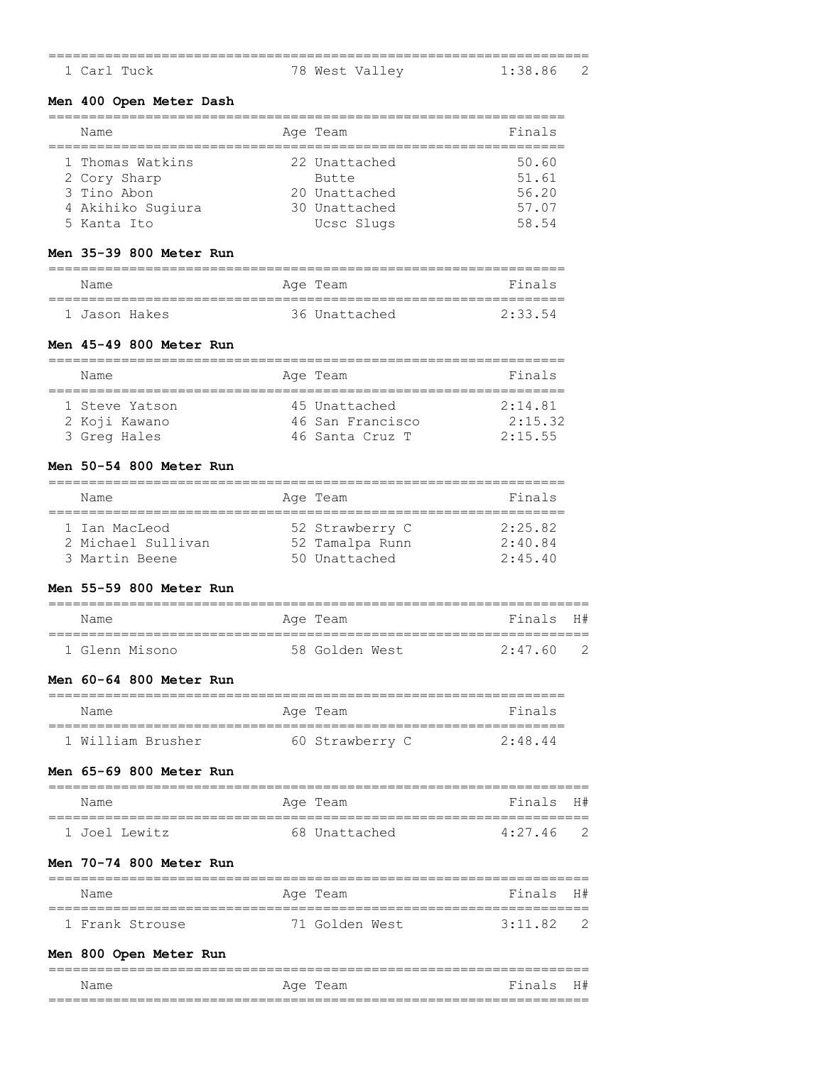| ___<br>_____ |             |   |             | _____     |
|--------------|-------------|---|-------------|-----------|
|              | 1 Carl Tuck | ₩ | West Valley | 1 • 38 86 |

### **Men 400 Open Meter Dash**

| Name                                                                                | Age Team                                                               | Finals                                    |
|-------------------------------------------------------------------------------------|------------------------------------------------------------------------|-------------------------------------------|
| 1 Thomas Watkins<br>2 Cory Sharp<br>3 Tino Abon<br>4 Akihiko Sugiura<br>5 Kanta Ito | 22 Unattached<br>Butte<br>20 Unattached<br>30 Unattached<br>Ucsc Slugs | 50.60<br>51.61<br>56.20<br>57.07<br>58.54 |

### **Men 35-39 800 Meter Run**

| Name          |  | Age Team      | Finals  |
|---------------|--|---------------|---------|
| 1 Jason Hakes |  | 36 Unattached | 2.33.54 |

#### **Men 45-49 800 Meter Run**

| Name           | Age Team         | Finals  |
|----------------|------------------|---------|
|                |                  |         |
| 1 Steve Yatson | 45 Unattached    | 2:14.81 |
| 2 Koji Kawano  | 46 San Francisco | 2:15.32 |
| 3 Greg Hales   | 46 Santa Cruz T  | 2:15.55 |

# **Men 50-54 800 Meter Run**

| Name               | Age Team        | Finals  |
|--------------------|-----------------|---------|
|                    |                 |         |
| 1 Ian MacLeod      | 52 Strawberry C | 2:25.82 |
| 2 Michael Sullivan | 52 Tamalpa Runn | 2:40.84 |
| 3 Martin Beene     | 50 Unattached   | 2:45.40 |

#### **Men 55-59 800 Meter Run**

| Name           | Age Team       | Finals H# |  |  |  |  |
|----------------|----------------|-----------|--|--|--|--|
|                |                |           |  |  |  |  |
| 1 Glenn Misono | 58 Golden West | 2.47 60   |  |  |  |  |

#### **Men 60-64 800 Meter Run**

| Name              | Age Team        | Finals |
|-------------------|-----------------|--------|
|                   |                 |        |
| 1 William Brusher | 60 Strawberry C | 2.484  |

#### **Men 65-69 800 Meter Run**

| Name          | Age Team      | Finals H#   |  |  |  |  |
|---------------|---------------|-------------|--|--|--|--|
|               |               |             |  |  |  |  |
| 1 Joel Lewitz | 68 Unattached | $4:27.46$ 2 |  |  |  |  |

#### **Men 70-74 800 Meter Run**

|  | Name            |  | Age Team       | Finals H# |  |  |  |
|--|-----------------|--|----------------|-----------|--|--|--|
|  |                 |  |                |           |  |  |  |
|  | 1 Frank Strouse |  | 71 Golden West | 3.11 82   |  |  |  |

### **Men 800 Open Meter Run**

| Name | Age Team | Finals H# |  |
|------|----------|-----------|--|
|      |          |           |  |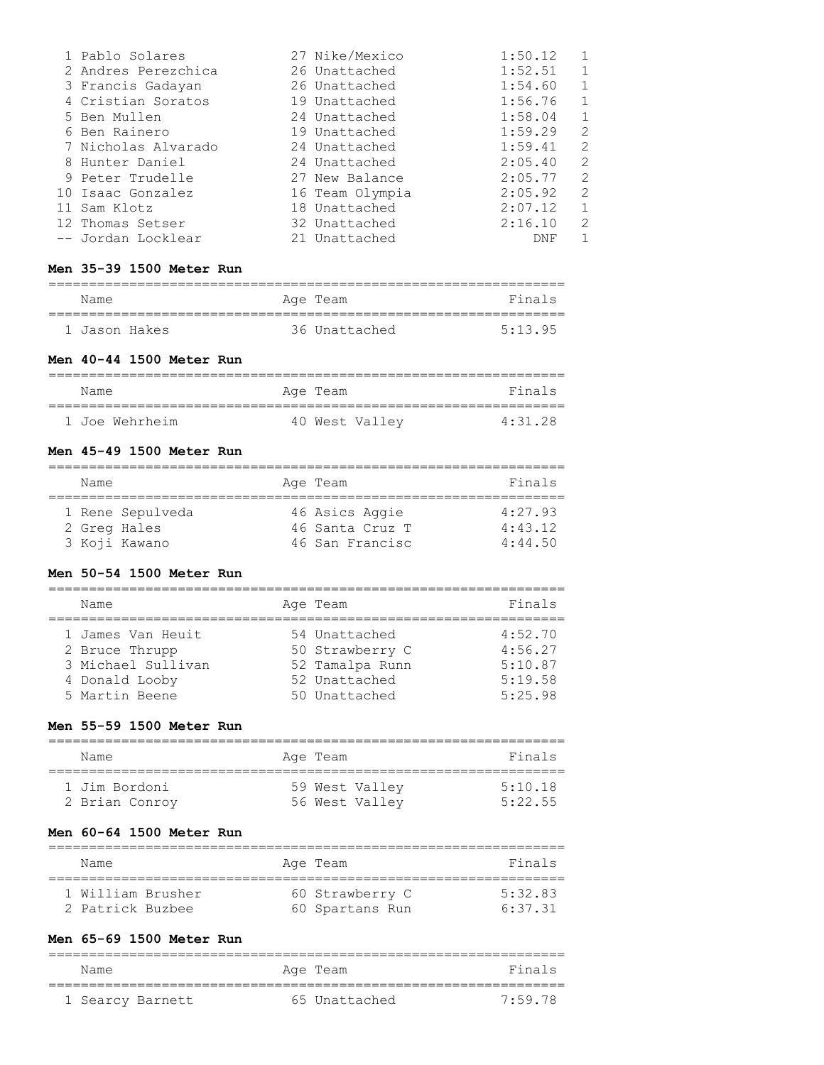| 1 Pablo Solares     | 27 Nike/Mexico  | 1:50.12 |                         |
|---------------------|-----------------|---------|-------------------------|
| 2 Andres Perezchica | 26 Unattached   | 1:52.51 |                         |
| 3 Francis Gadayan   | 26 Unattached   | 1:54.60 |                         |
| 4 Cristian Soratos  | 19 Unattached   | 1:56.76 |                         |
| 5 Ben Mullen        | 24 Unattached   | 1:58.04 |                         |
| 6 Ben Rainero       | 19 Unattached   | 1:59.29 | $\mathcal{D}_{1}^{(1)}$ |
| 7 Nicholas Alvarado | 24 Unattached   | 1:59.41 | $\mathcal{D}_{1}^{(1)}$ |
| 8 Hunter Daniel     | 24 Unattached   | 2:05.40 | $\mathcal{L}$           |
| 9 Peter Trudelle    | 27 New Balance  | 2:05.77 | $\mathcal{D}_{1}^{(1)}$ |
| 10 Isaac Gonzalez   | 16 Team Olympia | 2:05.92 | $\mathcal{L}$           |
| 11 Sam Klotz        | 18 Unattached   | 2:07.12 | 1                       |
| 12 Thomas Setser    | 32 Unattached   | 2:16.10 | $\mathcal{D}_{1}^{(1)}$ |
| -- Jordan Locklear  | 21 Unattached   | DNF     |                         |

# **Men 35-39 1500 Meter Run**

| Name          | Age Team      | Finals  |
|---------------|---------------|---------|
| 1 Jason Hakes | 36 Unattached | 5.13.95 |

### **Men 40-44 1500 Meter Run**

| Name           | Age Team       | Finals  |
|----------------|----------------|---------|
|                |                |         |
| 1 Joe Wehrheim | 40 West Valley | 4:31.28 |

# **Men 45-49 1500 Meter Run**

| Name         |                  | Age Team        | Finals  |
|--------------|------------------|-----------------|---------|
|              | 1 Rene Sepulveda | 46 Asics Aggie  | 4:27.93 |
| 2 Greg Hales |                  | 46 Santa Cruz T | 4:43.12 |
|              | 3 Koji Kawano    | 46 San Francisc | 4:44.50 |

### **Men 50-54 1500 Meter Run**

| Name                                                                                          | Age Team                                                                              | Finals                                              |
|-----------------------------------------------------------------------------------------------|---------------------------------------------------------------------------------------|-----------------------------------------------------|
| 1 James Van Heuit<br>2 Bruce Thrupp<br>3 Michael Sullivan<br>4 Donald Looby<br>5 Martin Beene | 54 Unattached<br>50 Strawberry C<br>52 Tamalpa Runn<br>52 Unattached<br>50 Unattached | 4:52.70<br>4:56.27<br>5:10.87<br>5:19.58<br>5:25.98 |

### **Men 55-59 1500 Meter Run**

| Name           | Age Team       | Finals  |
|----------------|----------------|---------|
| 1 Jim Bordoni  | 59 West Valley | 5:10.18 |
| 2 Brian Conroy | 56 West Valley | 5:22.55 |

### **Men 60-64 1500 Meter Run**

| Name              | Age Team        | Finals  |
|-------------------|-----------------|---------|
| 1 William Brusher | 60 Strawberry C | 5.32 83 |
| 2 Patrick Buzbee  | 60 Spartans Run | 6.3731  |

# **Men 65-69 1500 Meter Run**

| Name             | Age Team      | Finals    |
|------------------|---------------|-----------|
| 1 Searcy Barnett | 65 Unattached | $7.59$ 78 |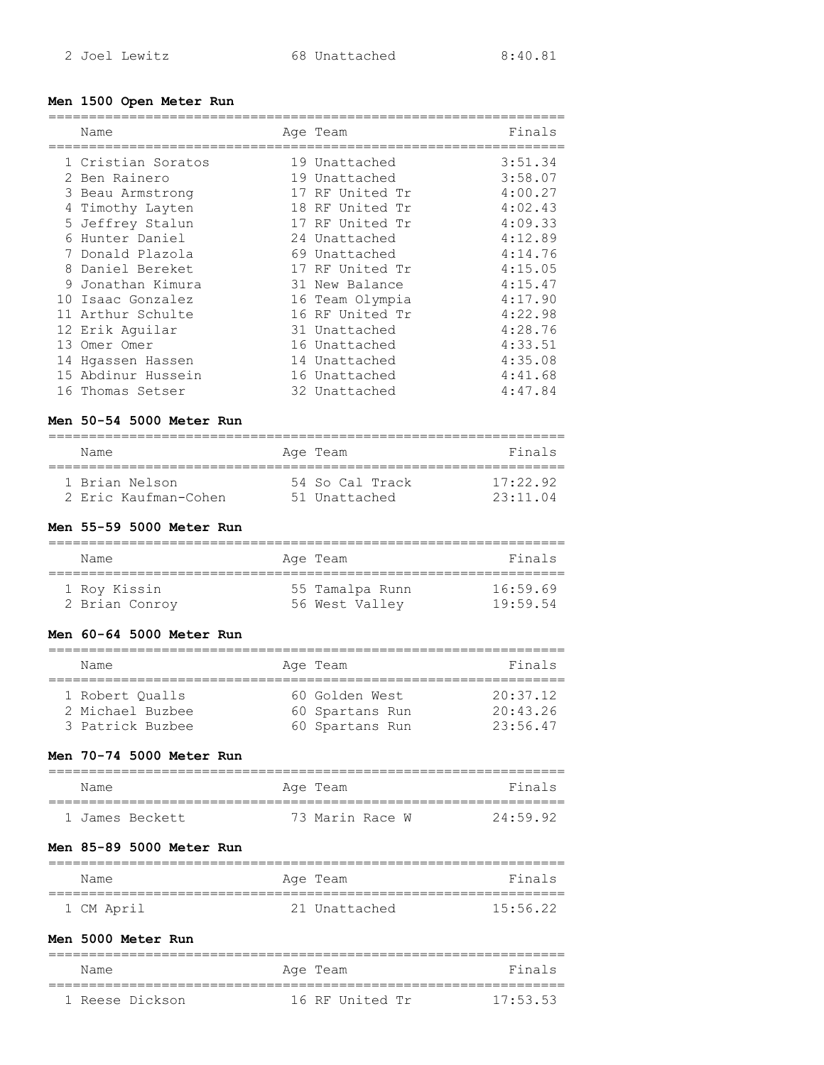### **Men 1500 Open Meter Run**

| Name               | Age Team        | Finals  |
|--------------------|-----------------|---------|
|                    |                 |         |
| 1 Cristian Soratos | 19 Unattached   | 3:51.34 |
| 2 Ben Rainero      | 19 Unattached   | 3:58.07 |
| 3 Beau Armstrong   | 17 RF United Tr | 4:00.27 |
| 4 Timothy Layten   | 18 RF United Tr | 4:02.43 |
| 5 Jeffrey Stalun   | 17 RF United Tr | 4:09.33 |
| 6 Hunter Daniel    | 24 Unattached   | 4:12.89 |
| 7 Donald Plazola   | 69 Unattached   | 4:14.76 |
| 8 Daniel Bereket   | 17 RF United Tr | 4:15.05 |
| 9 Jonathan Kimura  | 31 New Balance  | 4:15.47 |
| 10 Isaac Gonzalez  | 16 Team Olympia | 4:17.90 |
| 11 Arthur Schulte  | 16 RF United Tr | 4:22.98 |
| 12 Erik Aquilar    | 31 Unattached   | 4:28.76 |
| 13 Omer Omer       | 16 Unattached   | 4:33.51 |
| 14 Hqassen Hassen  | 14 Unattached   | 4:35.08 |
| 15 Abdinur Hussein | 16 Unattached   | 4:41.68 |
| 16 Thomas Setser   | 32 Unattached   | 4:47.84 |

### **Men 50-54 5000 Meter Run**

| Name                 | Age Team        | Finals           |
|----------------------|-----------------|------------------|
| 1 Brian Nelson       | 54 So Cal Track | 17.22.92         |
| 2 Eric Kaufman-Cohen | 51 Unattached   | $23 \cdot 11$ 04 |

# **Men 55-59 5000 Meter Run**

| Name           | Age Team |                 | Finals   |
|----------------|----------|-----------------|----------|
| 1 Roy Kissin   |          | 55 Tamalpa Runn | 16:59.69 |
| 2 Brian Conroy |          | 56 West Valley  | 19.5954  |

#### **Men 60-64 5000 Meter Run**

| Name             | Age Team        | Finals   |
|------------------|-----------------|----------|
|                  |                 |          |
| 1 Robert Oualls  | 60 Golden West  | 20:37.12 |
| 2 Michael Buzbee | 60 Spartans Run | 20:43.26 |
| 3 Patrick Buzbee | 60 Spartans Run | 23:56.47 |

### **Men 70-74 5000 Meter Run**

| Name            | Age Team        | Finals   |
|-----------------|-----------------|----------|
| 1 James Beckett | 73 Marin Race W | 24:59.92 |

### **Men 85-89 5000 Meter Run**

| Name       | Age Team      | Finals   |
|------------|---------------|----------|
|            |               |          |
| 1 CM April | 21 Unattached | 15:56.22 |

### **Men 5000 Meter Run**

| Name            | Age Team        | Finals   |
|-----------------|-----------------|----------|
|                 |                 |          |
| 1 Reese Dickson | 16 RF United Tr | 17:53.53 |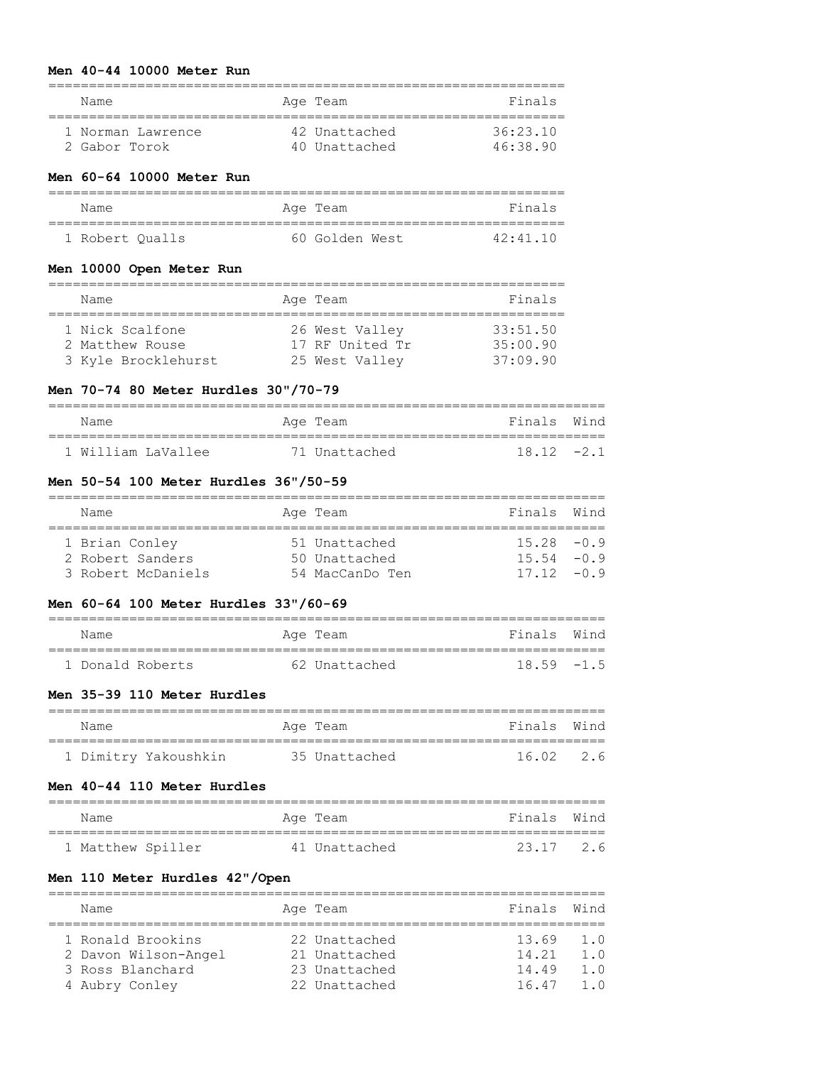#### **Men 40-44 10000 Meter Run**

| Name              | Age Team      | Finals   |
|-------------------|---------------|----------|
| 1 Norman Lawrence | 42 Unattached | 36.2310  |
| 2 Gabor Torok     | 40 Unattached | 46.38.90 |

### **Men 60-64 10000 Meter Run**

| Name            | Age Team       | Finals           |
|-----------------|----------------|------------------|
| 1 Robert Oualls | 60 Golden West | $42 \cdot 41$ 10 |

### **Men 10000 Open Meter Run**

| Name                | Age Team        | Finals   |
|---------------------|-----------------|----------|
|                     |                 |          |
| 1 Nick Scalfone     | 26 West Valley  | 33:51.50 |
| 2 Matthew Rouse     | 17 RF United Tr | 35:00.90 |
| 3 Kyle Brocklehurst | 25 West Valley  | 37:09.90 |

#### **Men 70-74 80 Meter Hurdles 30"/70-79**

| Name               | Age Team      | Finals Wind |
|--------------------|---------------|-------------|
|                    |               |             |
| 1 William LaVallee | 71 Unattached | $1812 - 21$ |

### **Men 50-54 100 Meter Hurdles 36"/50-59**

| Name               | Age Team        | Finals Wind   |     |
|--------------------|-----------------|---------------|-----|
|                    |                 |               |     |
| 1 Brian Conley     | 51 Unattached   | $15.28 - 0.9$ |     |
| 2 Robert Sanders   | 50 Unattached   | $15.54 - 0.9$ |     |
| 3 Robert McDaniels | 54 MacCanDo Ten | 17 12         | -09 |

#### **Men 60-64 100 Meter Hurdles 33"/60-69**

| Name             | Age Team      | Finals Wind   |
|------------------|---------------|---------------|
|                  |               |               |
| 1 Donald Roberts | 62 Unattached | $18.59 - 1.5$ |

### **Men 35-39 110 Meter Hurdles**

| Name                 | Age Team      | Finals Wind |
|----------------------|---------------|-------------|
| 1 Dimitry Yakoushkin | 35 Unattached | 16.02 2.6   |

# **Men 40-44 110 Meter Hurdles**

| Name              | Age Team      | Finals Wind |  |  |  |  |
|-------------------|---------------|-------------|--|--|--|--|
|                   |               |             |  |  |  |  |
| 1 Matthew Spiller | 41 Unattached | 23.17 2.6   |  |  |  |  |

### **Men 110 Meter Hurdles 42"/Open**

| Name                 |  | Age Team      | Finals Wind |     |  |  |
|----------------------|--|---------------|-------------|-----|--|--|
|                      |  |               |             |     |  |  |
| 1 Ronald Brookins    |  | 22 Unattached | 13.69       | 1.0 |  |  |
| 2 Davon Wilson-Angel |  | 21 Unattached | 14.21       | 1.0 |  |  |
| 3 Ross Blanchard     |  | 23 Unattached | 14.49       | 1.0 |  |  |
| 4 Aubry Conley       |  | 22 Unattached | 1647        | 1 O |  |  |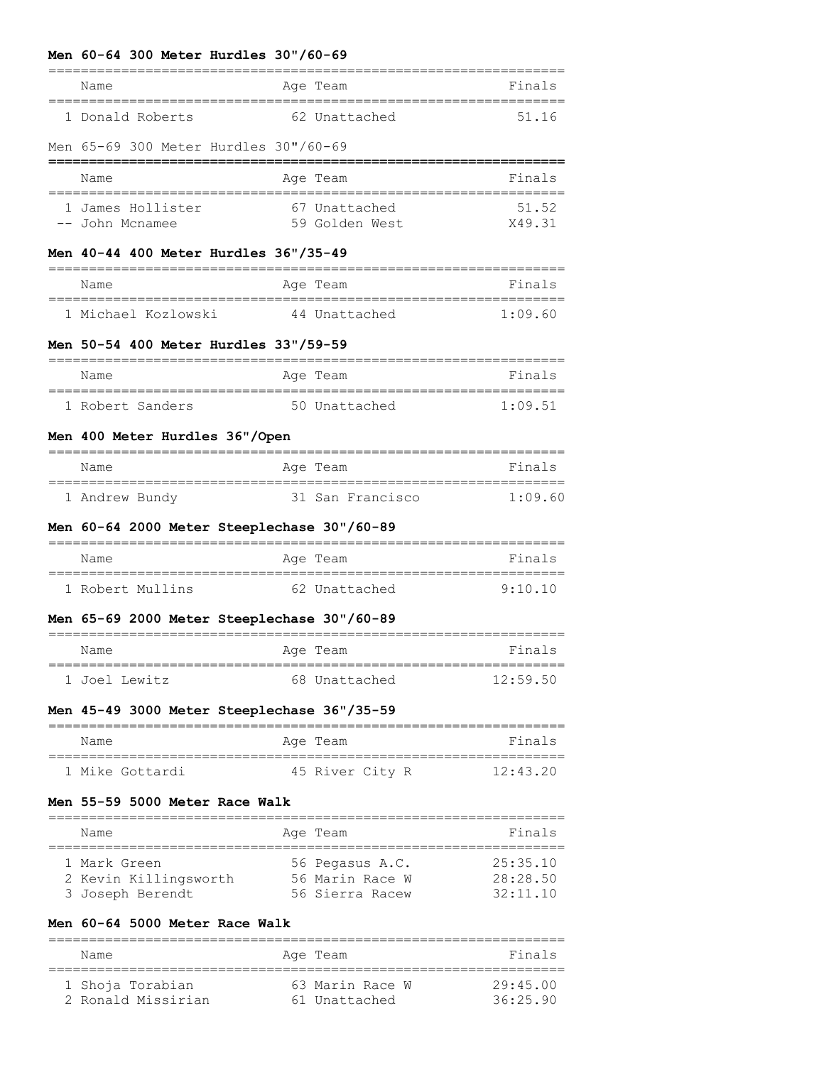#### **Men 60-64 300 Meter Hurdles 30"/60-69**

| Name             | Age Team      | Finals |
|------------------|---------------|--------|
| 1 Donald Roberts | 62 Unattached | 51 16  |

#### Men 65-69 300 Meter Hurdles 30"/60-69

| Name              | Age Team       | Finals |
|-------------------|----------------|--------|
| 1 James Hollister | 67 Unattached  | 51 52  |
| -- John Mcnamee   | 59 Golden West | X49.31 |

#### **Men 40-44 400 Meter Hurdles 36"/35-49**

| Name |                     | Age Team      | Finals  |
|------|---------------------|---------------|---------|
|      |                     |               |         |
|      | 1 Michael Kozlowski | 44 Unattached | 1.09.60 |

#### **Men 50-54 400 Meter Hurdles 33"/59-59**

| Name             | Age Team      | Finals          |
|------------------|---------------|-----------------|
|                  |               |                 |
| 1 Robert Sanders | 50 Unattached | $1 \cdot 09$ 51 |

#### **Men 400 Meter Hurdles 36"/Open**

| Name           | Age Team         | Finals  |
|----------------|------------------|---------|
|                |                  |         |
| 1 Andrew Bundy | 31 San Francisco | 1.09.60 |

### **Men 60-64 2000 Meter Steeplechase 30"/60-89**

| Name             | Age Team      | Finals                |
|------------------|---------------|-----------------------|
| 1 Robert Mullins | 62 Unattached | $9 \cdot 10 \cdot 10$ |

#### **Men 65-69 2000 Meter Steeplechase 30"/60-89**

| Name          | Age Team      | Finals   |
|---------------|---------------|----------|
| 1 Joel Lewitz | 68 Unattached | 12:59.50 |

#### **Men 45-49 3000 Meter Steeplechase 36"/35-59**

| Name            | Age Team        | Finals   |
|-----------------|-----------------|----------|
| 1 Mike Gottardi | 45 River City R | 12.43.20 |

#### **Men 55-59 5000 Meter Race Walk**

| Name                  | Age Team        | Finals   |
|-----------------------|-----------------|----------|
| 1 Mark Green          | 56 Pegasus A.C. | 25:35.10 |
| 2 Kevin Killingsworth | 56 Marin Race W | 28:28.50 |
| 3 Joseph Berendt      | 56 Sierra Racew | 32:11.10 |

### **Men 60-64 5000 Meter Race Walk**

================================================================ Name **Age Team** Age Team Finals ================================================================ 63 Marin Race W 29:45.00 2 Ronald Missirian 61 Unattached 36:25.90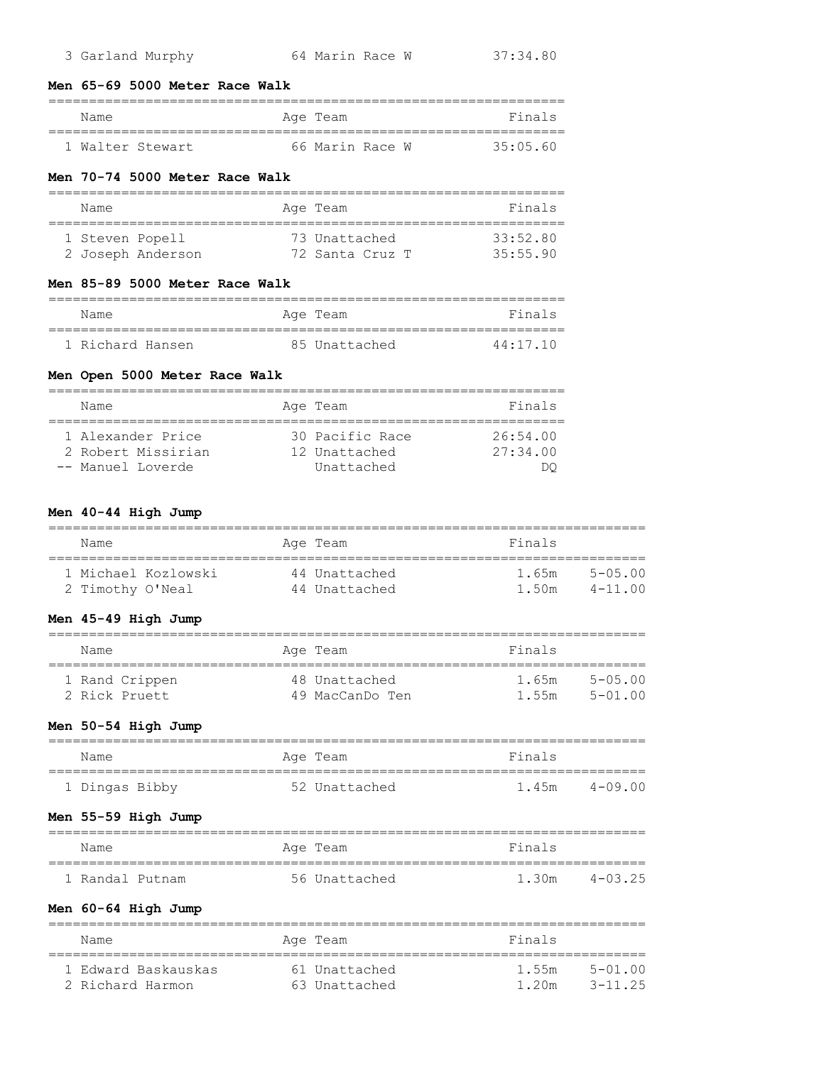#### **Men 65-69 5000 Meter Race Walk**

| Name |                | Age Team        |  | Finals   |
|------|----------------|-----------------|--|----------|
|      |                |                 |  |          |
|      | Walter Stewart | 66 Marin Race W |  | 35:05.60 |

#### **Men 70-74 5000 Meter Race Walk**

| Name            |                   | Age Team        | Finals   |
|-----------------|-------------------|-----------------|----------|
| 1 Steven Popell |                   | 73 Unattached   | 33:52.80 |
|                 | 2 Joseph Anderson | 72 Santa Cruz T | 35:55.90 |

#### **Men 85-89 5000 Meter Race Walk**

| Name             | Age Team      | Finals   |
|------------------|---------------|----------|
|                  |               |          |
| 1 Richard Hansen | 85 Unattached | 44:17.10 |

### **Men Open 5000 Meter Race Walk**

| Name               | Age Team        | Finals   |
|--------------------|-----------------|----------|
|                    |                 |          |
| 1 Alexander Price  | 30 Pacific Race | 26:54.00 |
| 2 Robert Missirian | 12 Unattached   | 27:34.00 |
| -- Manuel Loverde  | Unattached      |          |

### **Men 40-44 High Jump**

| Name                | Age Team      | Finals                       |  |
|---------------------|---------------|------------------------------|--|
| 1 Michael Kozlowski | 44 Unattached | $5 - 0.5 \cdot 0.0$<br>1.65m |  |
| 2 Timothy O'Neal    | 44 Unattached | $4 - 1100$<br>1.50m          |  |

### **Men 45-49 High Jump**

| Name                            | Age Team                         | Finals                                               |
|---------------------------------|----------------------------------|------------------------------------------------------|
| 1 Rand Crippen<br>2 Rick Pruett | 48 Unattached<br>49 MacCanDo Ten | $5 - 0.5 \cdot 0.0$<br>1.65m<br>$5 - 01.00$<br>1.55m |

### **Men 50-54 High Jump**

| Name           | Age Team      | Finals |         |
|----------------|---------------|--------|---------|
|                |               |        |         |
| 1 Dingas Bibby | 52 Unattached | 1.45m  | 4-09 00 |

### **Men 55-59 High Jump**

| Name            |  | Age Team      | Finals |         |
|-----------------|--|---------------|--------|---------|
|                 |  |               |        |         |
| 1 Randal Putnam |  | 56 Unattached | 1.30m  | 4-03 25 |

### **Men 60-64 High Jump**

| Name                | Age Team      | Finals |             |
|---------------------|---------------|--------|-------------|
| 1 Edward Baskauskas | 61 Unattached | 1.55m  | $5 - 01.00$ |
| 2 Richard Harmon    | 63 Unattached | 1 20m  | 3-11 25     |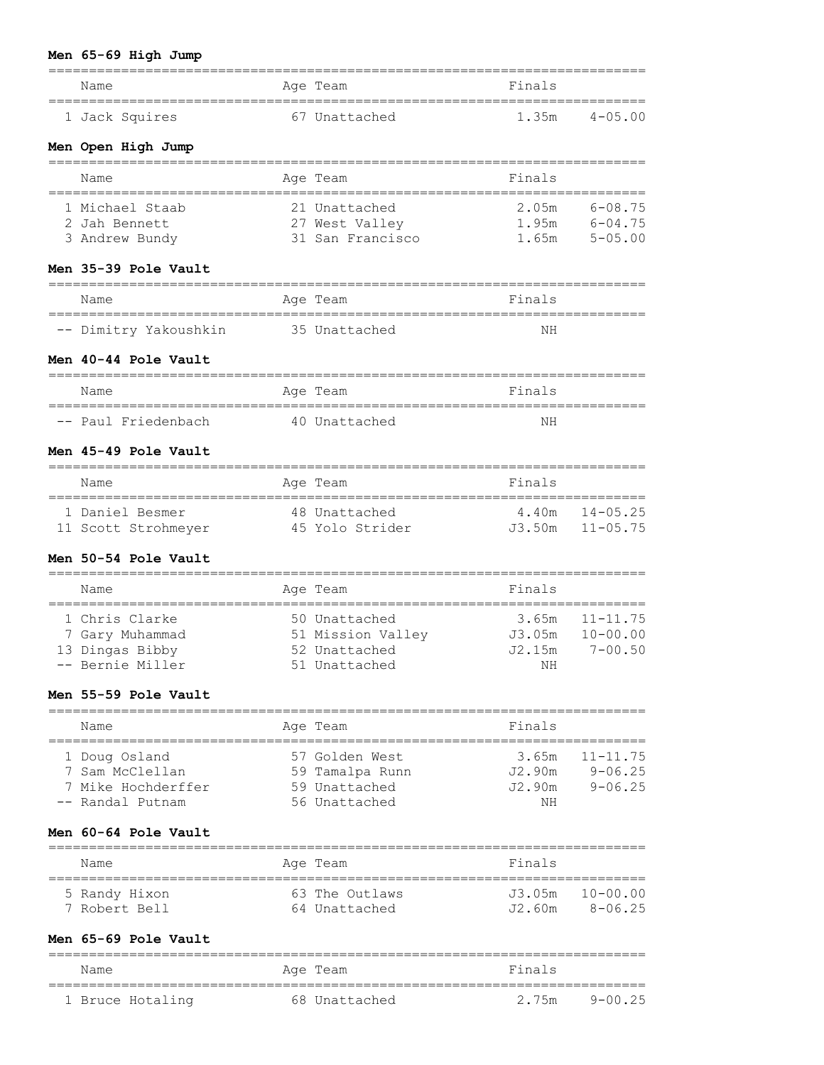# **Men 65-69 High Jump**

| Name                                               | Age Team                         | Finals                                        |                            |
|----------------------------------------------------|----------------------------------|-----------------------------------------------|----------------------------|
| ================================<br>1 Jack Squires | 67 Unattached                    | ==============================<br>1.35m       | $4 - 05.00$                |
| Men Open High Jump                                 |                                  |                                               |                            |
| ============================<br>Name               | Age Team                         | Finals<br>--------------------------          |                            |
| 1 Michael Staab                                    | 21 Unattached                    | 2.05m                                         | $6 - 08.75$                |
| 2 Jah Bennett                                      | 27 West Valley                   |                                               | 1.95m $6-04.75$            |
| 3 Andrew Bundy                                     | 31 San Francisco                 | 1.65m                                         | $5 - 05.00$                |
| Men 35-39 Pole Vault                               |                                  |                                               |                            |
| Name                                               | Age Team                         | Finals                                        |                            |
| -- Dimitry Yakoushkin                              | 35 Unattached                    | NΗ                                            |                            |
| Men 40-44 Pole Vault<br>===================        |                                  |                                               |                            |
| Name<br>==================================         | Age Team                         | Finals<br>___________________________________ |                            |
| -- Paul Friedenbach                                | 40 Unattached                    | ΝH                                            |                            |
| Men 45-49 Pole Vault                               |                                  | ------------------                            |                            |
| Name                                               | Age Team                         | Finals                                        |                            |
| 1 Daniel Besmer                                    | 48 Unattached                    | 4.40m                                         | $14 - 05.25$               |
| 11 Scott Strohmeyer                                | 45 Yolo Strider                  | J3.50m                                        | $11 - 05.75$               |
| Men 50-54 Pole Vault                               |                                  |                                               |                            |
| Name                                               | Age Team                         | Finals                                        |                            |
| 1 Chris Clarke                                     | 50 Unattached                    | 3.65m                                         | $11 - 11.75$               |
| 7 Gary Muhammad                                    | 51 Mission Valley                | J3.05m                                        | $10 - 00.00$               |
| 13 Dingas Bibby<br>-- Bernie Miller                | 52 Unattached<br>51 Unattached   | J2.15m<br>NH NH                               | $7 - 00.50$                |
| Men 55-59 Pole Vault                               |                                  |                                               |                            |
| Name                                               | Age Team                         | Finals                                        |                            |
|                                                    |                                  |                                               |                            |
| 1 Doug Osland                                      | 57 Golden West                   | 3.65m                                         | $11 - 11.75$               |
| 7 Sam McClellan<br>7 Mike Hochderffer              | 59 Tamalpa Runn<br>59 Unattached | J2.90m<br>J2.90m                              | $9 - 06.25$<br>$9 - 06.25$ |
| -- Randal Putnam                                   | 56 Unattached                    | NH                                            |                            |
| Men 60-64 Pole Vault                               |                                  |                                               |                            |
| Name                                               | Age Team                         | Finals                                        |                            |
| ;==================<br>5 Randy Hixon               | 63 The Outlaws                   | J3.05m                                        | $10 - 00.00$               |
| 7 Robert Bell                                      | 64 Unattached                    | J2.60m                                        | $8 - 06.25$                |
| Men 65-69 Pole Vault                               |                                  |                                               |                            |
| Name                                               | Age Team                         | Finals                                        |                            |

| Name             | Aae<br>'ream  |       |         |
|------------------|---------------|-------|---------|
|                  |               |       |         |
| 1 Bruce Hotaling | 68 Unattached | 2.75m | 9-00 25 |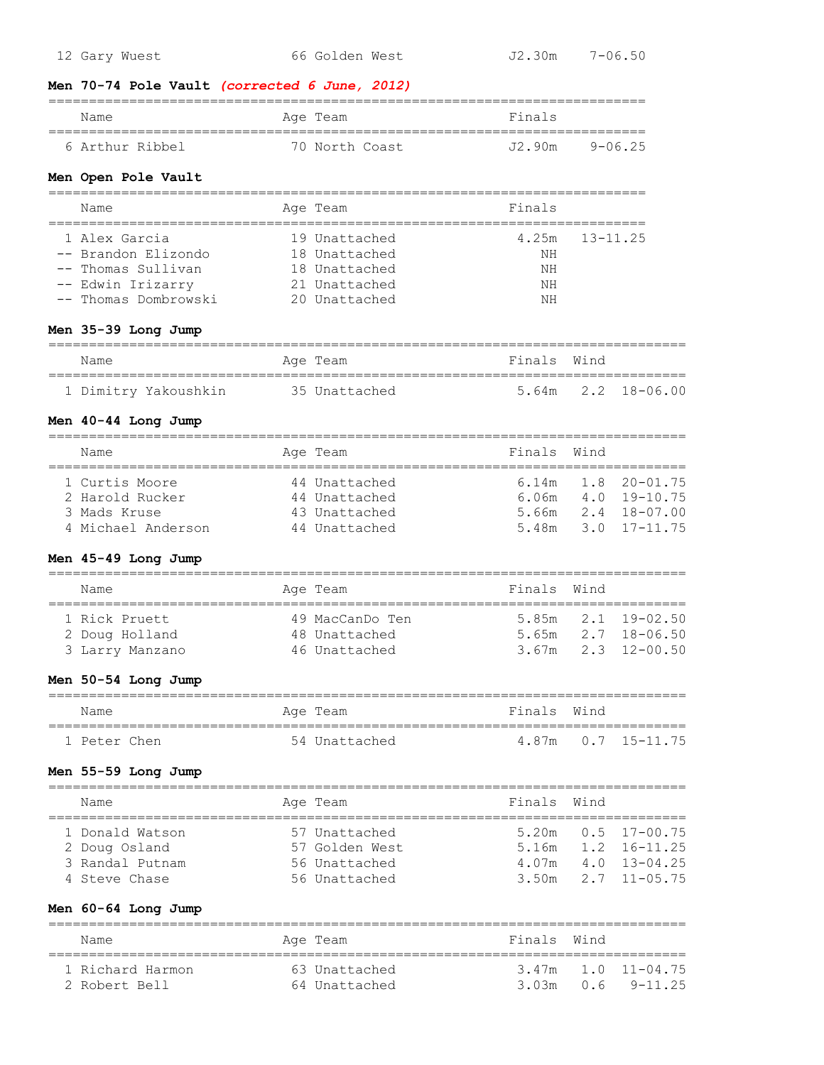| 12 Gary Wuest                                                                                     | 66 Golden West                                                                    | $J2.30m$ $7-06.50$                           |                   |                                                                              |
|---------------------------------------------------------------------------------------------------|-----------------------------------------------------------------------------------|----------------------------------------------|-------------------|------------------------------------------------------------------------------|
| Men 70-74 Pole Vault (corrected 6 June, 2012)                                                     |                                                                                   |                                              |                   |                                                                              |
| Name                                                                                              | Age Team                                                                          | Finals                                       |                   |                                                                              |
| 6 Arthur Ribbel                                                                                   | 70 North Coast                                                                    | J2.90m                                       |                   | $9 - 06.25$                                                                  |
| Men Open Pole Vault                                                                               |                                                                                   | ________________________________             |                   |                                                                              |
| Name<br>==================================                                                        | Age Team                                                                          | Finals<br>================================== |                   |                                                                              |
| 1 Alex Garcia<br>-- Brandon Elizondo<br>Thomas Sullivan<br>-- Edwin Irizarry<br>Thomas Dombrowski | 19 Unattached<br>18 Unattached<br>18 Unattached<br>21 Unattached<br>20 Unattached | 4.25m<br>NΗ<br>NΗ<br>NΗ<br>NΗ                |                   | $13 - 11.25$                                                                 |
| Men 35-39 Long Jump                                                                               |                                                                                   |                                              |                   |                                                                              |
| Name                                                                                              | Age Team                                                                          | Finals                                       | Wind              |                                                                              |
| 1 Dimitry Yakoushkin 35 Unattached                                                                |                                                                                   | 5.64m                                        |                   | $2.2$ 18-06.00                                                               |
| Men 40-44 Long Jump                                                                               |                                                                                   |                                              |                   |                                                                              |
| Name                                                                                              | Age Team                                                                          | Finals                                       | Wind              |                                                                              |
| 1 Curtis Moore<br>2 Harold Rucker<br>3 Mads Kruse<br>4 Michael Anderson                           | 44 Unattached<br>44 Unattached<br>43 Unattached<br>44 Unattached                  | 6.14m<br>6.06m<br>5.66m<br>5.48m             |                   | $1.8$ 20-01.75<br>$4.0$ 19-10.75<br>$2.4$ 18-07.00<br>$3.0 \quad 17 - 11.75$ |
| Men 45-49 Long Jump                                                                               |                                                                                   | :===============                             |                   |                                                                              |
| Name                                                                                              | Age Team                                                                          | Finals                                       | Wind              |                                                                              |
| 1 Rick Pruett<br>2 Doug Holland<br>3 Larry Manzano                                                | 49 MacCanDo Ten<br>48 Unattached<br>46 Unattached                                 | 5.85m<br>5.65m<br>3.67m                      | 2.1<br>2.7        | $19 - 02.50$<br>$18 - 06.50$<br>$2.3$ 12-00.50                               |
| Men 50-54 Long Jump                                                                               |                                                                                   |                                              |                   |                                                                              |
| Name                                                                                              | Age Team                                                                          | Finals                                       | Wind              |                                                                              |
| 1 Peter Chen                                                                                      | 54 Unattached                                                                     | 4.87m                                        | 0.7               | $15 - 11.75$                                                                 |
| Men 55-59 Long Jump                                                                               |                                                                                   |                                              |                   |                                                                              |
| Name                                                                                              | Age Team                                                                          | Finals                                       | Wind              |                                                                              |
| 1 Donald Watson<br>2 Doug Osland<br>3 Randal Putnam<br>4 Steve Chase                              | 57 Unattached<br>57 Golden West<br>56 Unattached<br>56 Unattached                 | 5.20m<br>5.16m<br>4.07m<br>3.50m             | 0.5<br>4.0<br>2.7 | $17 - 00.75$<br>1.2 16-11.25<br>13-04.25<br>$11 - 05.75$                     |
| Men 60-64 Long Jump<br>==============                                                             |                                                                                   |                                              |                   |                                                                              |
| Name                                                                                              | Age Team                                                                          | Finals                                       | Wind              |                                                                              |

 1 Richard Harmon 63 Unattached 3.47m 1.0 11-04.75 2 Robert Bell 64 Unattached 3.03m 0.6 9-11.25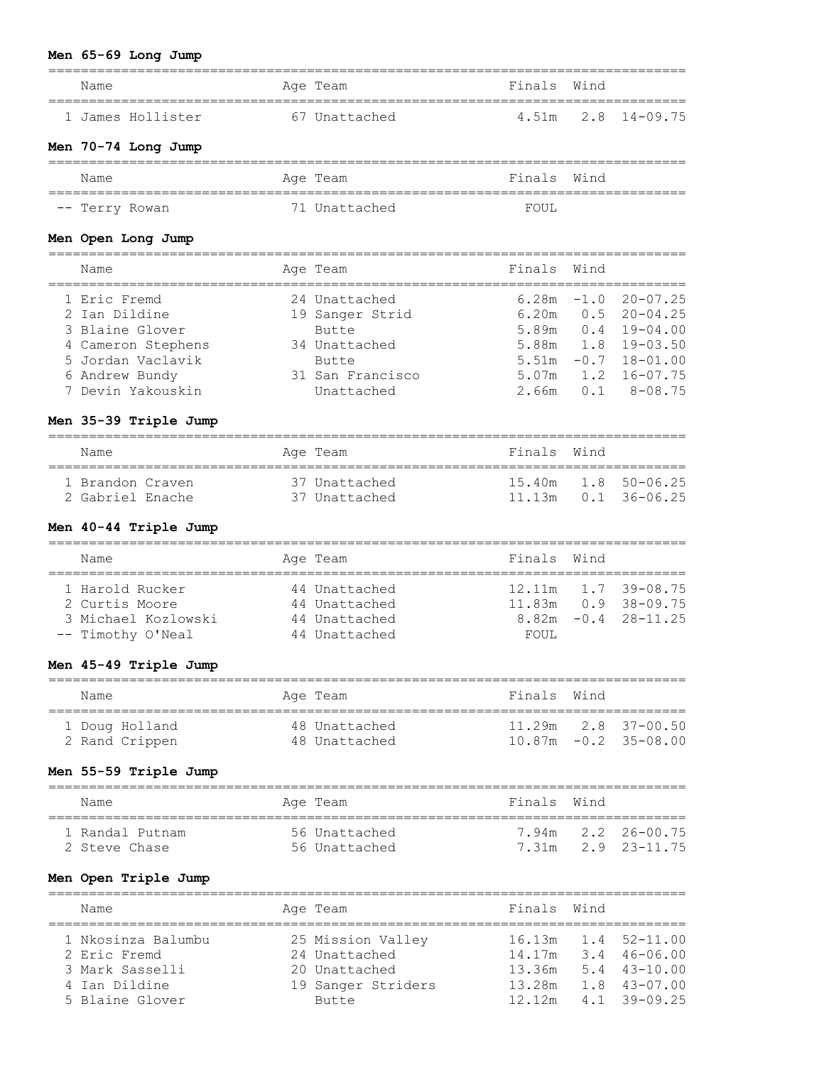# **Men 65-69 Long Jump**

| Name                  |            | Age Team           | Finals Wind |        |                         |
|-----------------------|------------|--------------------|-------------|--------|-------------------------|
| 1 James Hollister     |            | 67 Unattached      | 4.51m       | 2.8    | $14 - 09.75$            |
| Men 70-74 Long Jump   |            |                    |             |        |                         |
| Name                  |            | Age Team           | Finals      | Wind   |                         |
| -- Terry Rowan        |            | 71 Unattached      | FOUL        |        |                         |
| Men Open Long Jump    |            |                    |             |        |                         |
| Name                  |            | Age Team           | Finals      | Wind   |                         |
|                       |            |                    |             |        |                         |
| 1 Eric Fremd          |            | 24 Unattached      | 6.28m       | $-1.0$ | $20 - 07.25$            |
| 2 Ian Dildine         |            | 19 Sanger Strid    | 6.20m       | 0.5    | $20 - 04.25$            |
| 3 Blaine Glover       |            | Butte              | 5.89m       | 0.4    | $19 - 04.00$            |
| 4 Cameron Stephens    |            | 34 Unattached      | 5.88m       | 1.8    | $19 - 03.50$            |
| 5 Jordan Vaclavik     |            | Butte              |             |        | $5.51m -0.7$ 18-01.00   |
| 6 Andrew Bundy        |            | 31 San Francisco   | 5.07m       | 1.2    | $16 - 07.75$            |
| 7 Devin Yakouskin     |            | Unattached         | 2.66m       | 0.1    | $8 - 08.75$             |
| Men 35-39 Triple Jump |            |                    |             |        |                         |
| Name                  |            | Age Team           | Finals      | Wind   |                         |
| 1 Brandon Craven      |            | 37 Unattached      | 15.40m      |        | $1.8$ 50-06.25          |
| 2 Gabriel Enache      |            | 37 Unattached      | 11.13m      |        | $0.1$ 36-06.25          |
| Men 40-44 Triple Jump |            |                    |             |        |                         |
| Name                  |            | Age Team           | Finals      | Wind   |                         |
| 1 Harold Rucker       |            | 44 Unattached      | 12.11m      |        | $1.7$ 39-08.75          |
| 2 Curtis Moore        |            | 44 Unattached      | 11.83m      |        | $0.9$ 38-09.75          |
| 3 Michael Kozlowski   |            | 44 Unattached      | 8.82m       | $-0.4$ | $28 - 11.25$            |
| -- Timothy O'Neal     |            | 44 Unattached      | FOUL        |        |                         |
| Men 45-49 Triple Jump |            |                    |             |        |                         |
| Name                  |            | Age Team           | Finals      | Wind   |                         |
| 1 Doug Holland        |            | 48 Unattached      |             |        | 11.29m 2.8 37-00.50     |
| 2 Rand Crippen        |            | 48 Unattached      |             |        | $10.87m - 0.2$ 35-08.00 |
| Men 55-59 Triple Jump |            |                    |             |        |                         |
| Name                  |            | Age Team           | Finals      | Wind   |                         |
| 1 Randal Putnam       | ========== | 56 Unattached      | 7.94m       |        | $2.2$ $26 - 00.75$      |
| 2 Steve Chase         |            | 56 Unattached      | 7.31m       |        | $2.9$ $23-11.75$        |
| Men Open Triple Jump  |            |                    |             |        |                         |
| Name                  |            | Age Team           | Finals      | Wind   |                         |
| 1 Nkosinza Balumbu    |            | 25 Mission Valley  | 16.13m      |        | $1.4$ $52-11.00$        |
| 2 Eric Fremd          |            | 24 Unattached      | 14.17m      |        | $3.4$ 46-06.00          |
| 3 Mark Sasselli       |            | 20 Unattached      | 13.36m      |        | $5.4$ 43-10.00          |
| 4 Ian Dildine         |            | 19 Sanger Striders | 13.28m      |        | $1.8$ 43-07.00          |

5 Blaine Glover Butte 12.12m 4.1 39-09.25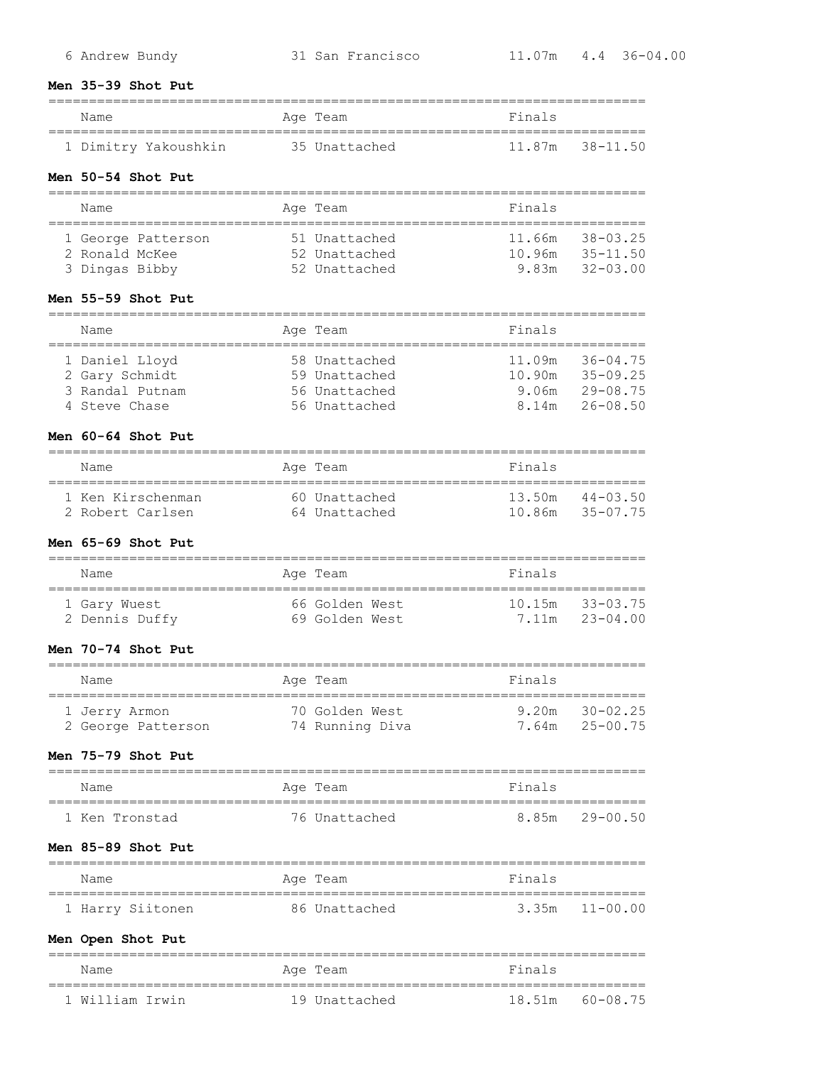#### **Men 35-39 Shot Put**

| Name                 | Age Team      | Finals |                     |
|----------------------|---------------|--------|---------------------|
| 1 Dimitry Yakoushkin | 35 Unattached |        | $11.87m$ $38-11.50$ |
| Men 50-54 Shot Put   |               |        |                     |
| Name                 | Age Team      | Finals |                     |

|                | 1 George Patterson | 51 Unattached | 11.66m 38-03.25 |                |
|----------------|--------------------|---------------|-----------------|----------------|
| 2 Ronald McKee |                    | 52 Unattached | 10.96m 35-11.50 |                |
| 3 Dingas Bibby |                    | 52 Unattached |                 | 9.83m 32-03.00 |

#### **Men 55-59 Shot Put**

| Name            |  | Age Team      | Finals |              |  |
|-----------------|--|---------------|--------|--------------|--|
|                 |  |               |        |              |  |
| 1 Daniel Lloyd  |  | 58 Unattached | 11.09m | $36 - 04.75$ |  |
| 2 Gary Schmidt  |  | 59 Unattached | 10.90m | $35 - 09.25$ |  |
| 3 Randal Putnam |  | 56 Unattached | 9.06m  | $29 - 08.75$ |  |
| 4 Steve Chase   |  | 56 Unattached | 8 14m  | 26-08.50     |  |

#### **Men 60-64 Shot Put**

| Name              | Age Team      | Finals              |
|-------------------|---------------|---------------------|
| 1 Ken Kirschenman | 60 Unattached | $13.50m$ $44-03.50$ |
| 2 Robert Carlsen  | 64 Unattached | 10.86m 35-07.75     |

==========================================================================

### **Men 65-69 Shot Put**

| Name                           | Age Team                         | Finals                                |
|--------------------------------|----------------------------------|---------------------------------------|
| 1 Gary Wuest<br>2 Dennis Duffy | 66 Golden West<br>69 Golden West | $10.15m$ $33-03.75$<br>7.11m 23-04.00 |

#### **Men 70-74 Shot Put**

| Name               | Age Team        | Finals         |  |  |  |
|--------------------|-----------------|----------------|--|--|--|
| 1 Jerry Armon      | 70 Golden West  | 9 20m 30-02 25 |  |  |  |
| 2 George Patterson | 74 Running Diva | 7.64m 25-00.75 |  |  |  |

#### **Men 75-79 Shot Put**

| Name           | Age Team      | Finals         |  |  |  |  |
|----------------|---------------|----------------|--|--|--|--|
| 1 Ken Tronstad | 76 Unattached | 8.85m 29-00.50 |  |  |  |  |

### **Men 85-89 Shot Put**

| Name             | Age Team      | Finals             |  |  |  |
|------------------|---------------|--------------------|--|--|--|
| 1 Harry Siitonen | 86 Unattached | $3.35m$ $11-00.00$ |  |  |  |

# **Men Open Shot Put**

| Name            | Age Team      | Finals             |  |  |  |  |
|-----------------|---------------|--------------------|--|--|--|--|
| 1 William Trwin | 19 Unattached | 18.51m<br>60-08.75 |  |  |  |  |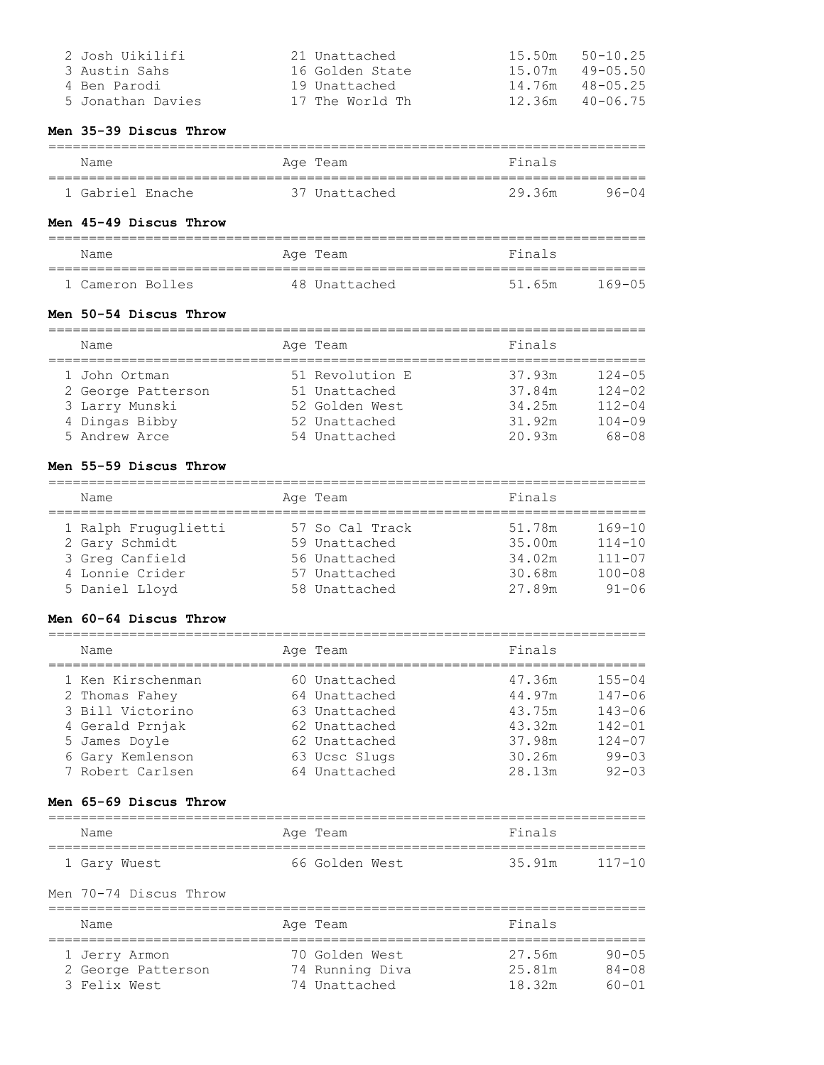| 2 Josh Uikilifi   | 21 Unattached   | 15.50m | $50 - 10.25$ |
|-------------------|-----------------|--------|--------------|
| 3 Austin Sahs     | 16 Golden State | 15.07m | 49-05.50     |
| 4 Ben Parodi      | 19 Unattached   | 14.76m | 48-05.25     |
| 5 Jonathan Davies | 17 The World Th | 12.36m | 40-06.75     |

#### **Men 35-39 Discus Throw**

| Name             | Age Team             | Finals |           |  |  |  |
|------------------|----------------------|--------|-----------|--|--|--|
|                  |                      |        |           |  |  |  |
| 1 Gabriel Enache | ' Unattached<br>7. Y | 29 36m | $96 - 04$ |  |  |  |

# **Men 45-49 Discus Throw**

| Name             | Age Team      | Finals               |  |  |  |  |
|------------------|---------------|----------------------|--|--|--|--|
| 1 Cameron Bolles | 48 Unattached | 51.65m<br>$169 - 05$ |  |  |  |  |

#### **Men 50-54 Discus Throw**

| Name               |  | Age Team        | Finals |            |  |  |
|--------------------|--|-----------------|--------|------------|--|--|
| 1 John Ortman      |  | 51 Revolution E | 37.93m | $124 - 05$ |  |  |
| 2 George Patterson |  | 51 Unattached   | 37.84m | $124 - 02$ |  |  |
| 3 Larry Munski     |  | 52 Golden West  | 34.25m | $112 - 04$ |  |  |
| 4 Dingas Bibby     |  | 52 Unattached   | 31.92m | $104 - 09$ |  |  |
| 5 Andrew Arce      |  | 54 Unattached   | 20.93m | 68-08      |  |  |

# **Men 55-59 Discus Throw**

| Name                 | Age Team        | Finals |            |
|----------------------|-----------------|--------|------------|
| 1 Ralph Fruguglietti | 57 So Cal Track | 51.78m | $169 - 10$ |
| 2 Gary Schmidt       | 59 Unattached   | 35.00m | $114 - 10$ |
| 3 Greg Canfield      | 56 Unattached   | 34.02m | $111 - 07$ |
| 4 Lonnie Crider      | 57 Unattached   | 30.68m | $100 - 08$ |
| 5 Daniel Lloyd       | 58 Unattached   | 27.89m | $91 - 06$  |

### **Men 60-64 Discus Throw**

| Name              | Age Team      | Finals |            |
|-------------------|---------------|--------|------------|
| 1 Ken Kirschenman | 60 Unattached | 47.36m | $155 - 04$ |
| 2 Thomas Fahey    | 64 Unattached | 44.97m | $147 - 06$ |
| 3 Bill Victorino  | 63 Unattached | 43.75m | $143 - 06$ |
| 4 Gerald Prnjak   | 62 Unattached | 43.32m | $142 - 01$ |
| 5 James Doyle     | 62 Unattached | 37.98m | $124 - 07$ |
| 6 Gary Kemlenson  | 63 Ucsc Slugs | 30.26m | $99 - 03$  |
| 7 Robert Carlsen  | 64 Unattached | 28.13m | $92 - 03$  |

#### **Men 65-69 Discus Throw**

| Finals<br>Name<br>Age Team               |            |
|------------------------------------------|------------|
|                                          |            |
| 35.91m<br>66 Golden West<br>1 Gary Wuest | $117 - 10$ |

# Men 70-74 Discus Throw

| Name               | Age Team        | Finals |           |
|--------------------|-----------------|--------|-----------|
| 1 Jerry Armon      | 70 Golden West  | 27.56m | $90 - 05$ |
| 2 George Patterson | 74 Running Diva | 25.81m | $84 - 08$ |
| 3 Felix West       | 74 Unattached   | 18.32m | $60 - 01$ |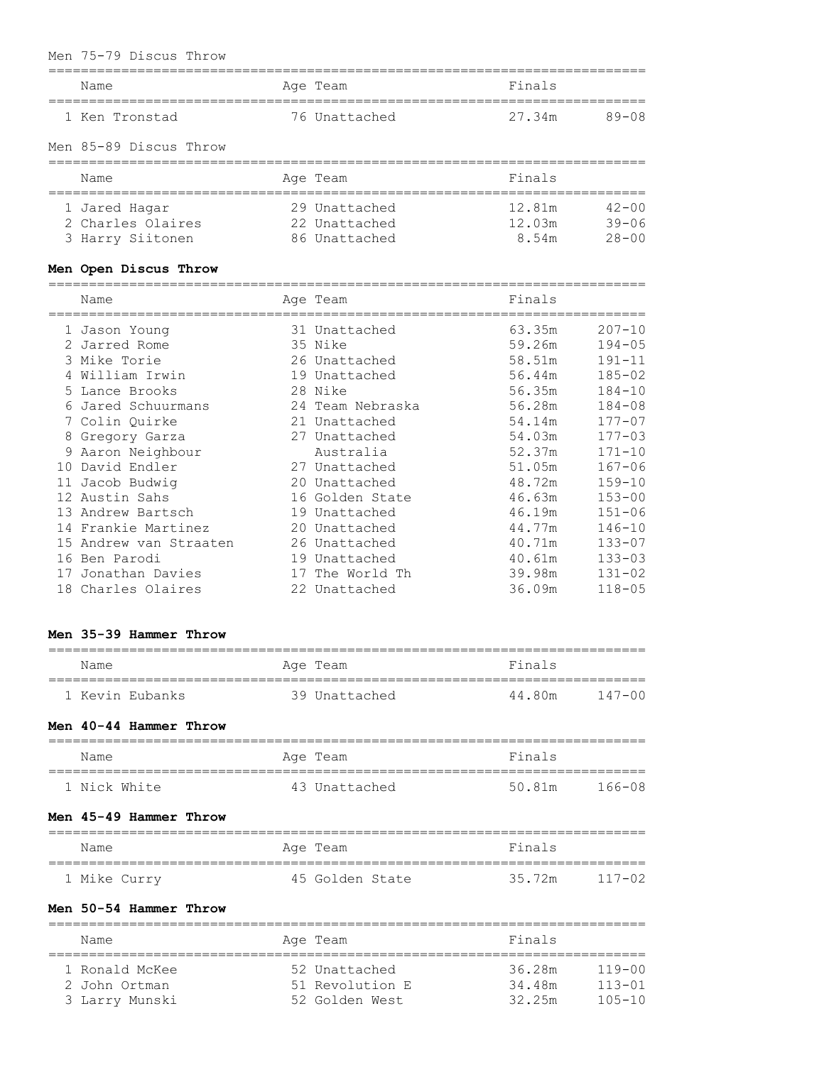### Men 75-79 Discus Throw

| Name<br>.------------------------------------          | Age Team                                        | Finals                                     |                          |
|--------------------------------------------------------|-------------------------------------------------|--------------------------------------------|--------------------------|
| 1 Ken Tronstad                                         | 76 Unattached                                   | 27.34m                                     | $89 - 08$                |
| Men 85-89 Discus Throw                                 |                                                 |                                            |                          |
| Name                                                   | Age Team                                        | Finals<br>;=============================== |                          |
| 1 Jared Hagar<br>2 Charles Olaires<br>3 Harry Siitonen | 29 Unattached<br>22 Unattached<br>86 Unattached | 12.81m<br>$12.03m$ $39-06$<br>8.54m 28-00  | $42 - 00$                |
| Men Open Discus Throw<br>------------                  |                                                 |                                            |                          |
| Name                                                   | Age Team                                        | Finals                                     |                          |
| 1 Jason Young<br>2 Jarred Rome                         | 31 Unattached<br>35 Nike                        | 63.35m<br>59.26m                           | $207 - 10$<br>$194 - 05$ |
| 3 Mike Torie<br>4 William Irwin                        | 26 Unattached<br>19 Unattached                  | 58.51m<br>56.44m                           | $191 - 11$<br>$185 - 02$ |
| 5 Lance Brooks                                         | 28 Nike                                         | 56.35m                                     | $184 - 10$               |
| 6 Jared Schuurmans<br>7 Colin Quirke                   | 24 Team Nebraska<br>21 Unattached               | 56.28m<br>54.14m                           | $184 - 08$<br>$177 - 07$ |
| 8 Gregory Garza<br>9 Aaron Neighbour                   | 27 Unattached<br>Australia                      | 54.03m<br>52.37m                           | $177 - 03$<br>$171 - 10$ |
| 10 David Endler                                        | 27 Unattached                                   | 51.05m<br>$\sim$ $\sim$ $\sim$             | $167 - 06$               |

| 1 Jason Young          | 31 Unattached    | 63.35m | $207 - 10$ |
|------------------------|------------------|--------|------------|
| 2 Jarred Rome          | 35 Nike          | 59.26m | $194 - 05$ |
| 3 Mike Torie           | 26 Unattached    | 58.51m | $191 - 11$ |
| 4 William Irwin        | 19 Unattached    | 56.44m | $185 - 02$ |
| 5 Lance Brooks         | 28 Nike          | 56.35m | $184 - 10$ |
| 6 Jared Schuurmans     | 24 Team Nebraska | 56.28m | $184 - 08$ |
| 7 Colin Quirke         | 21 Unattached    | 54.14m | $177 - 07$ |
| 8 Gregory Garza        | 27 Unattached    | 54.03m | $177 - 03$ |
| 9 Aaron Neighbour      | Australia        | 52.37m | $171 - 10$ |
| 10 David Endler        | 27 Unattached    | 51.05m | $167 - 06$ |
| 11 Jacob Budwig        | 20 Unattached    | 48.72m | $159 - 10$ |
| 12 Austin Sahs         | 16 Golden State  | 46.63m | $153 - 00$ |
| 13 Andrew Bartsch      | 19 Unattached    | 46.19m | $151 - 06$ |
| 14 Frankie Martinez    | 20 Unattached    | 44.77m | $146 - 10$ |
| 15 Andrew van Straaten | 26 Unattached    | 40.71m | $133 - 07$ |
| 16 Ben Parodi          | 19 Unattached    | 40.61m | $133 - 03$ |
| 17 Jonathan Davies     | 17 The World Th  | 39.98m | $131 - 02$ |
| 18 Charles Olaires     | 22 Unattached    | 36.09m | $118 - 05$ |

# **Men 35-39 Hammer Throw**

| Name                   | Age Team        | Finals |            |
|------------------------|-----------------|--------|------------|
| 1 Kevin Eubanks        | 39 Unattached   | 44.80m | $147 - 00$ |
| Men 40-44 Hammer Throw |                 |        |            |
| Name                   | Age Team        | Finals |            |
| 1 Nick White           | 43 Unattached   | 50.81m | $166 - 08$ |
| Men 45-49 Hammer Throw |                 |        |            |
| Name                   | Age Team        | Finals |            |
| 1 Mike Curry           | 45 Golden State | 35.72m | $117 - 02$ |
| Men 50-54 Hammer Throw |                 |        |            |

| Name                                              | Age Team                                           | Finals                                                           |
|---------------------------------------------------|----------------------------------------------------|------------------------------------------------------------------|
| 1 Ronald McKee<br>2 John Ortman<br>3 Larry Munski | 52 Unattached<br>51 Revolution E<br>52 Golden West | 36.28m<br>119-00<br>$113 - 01$<br>34.48m<br>32.25m<br>$105 - 10$ |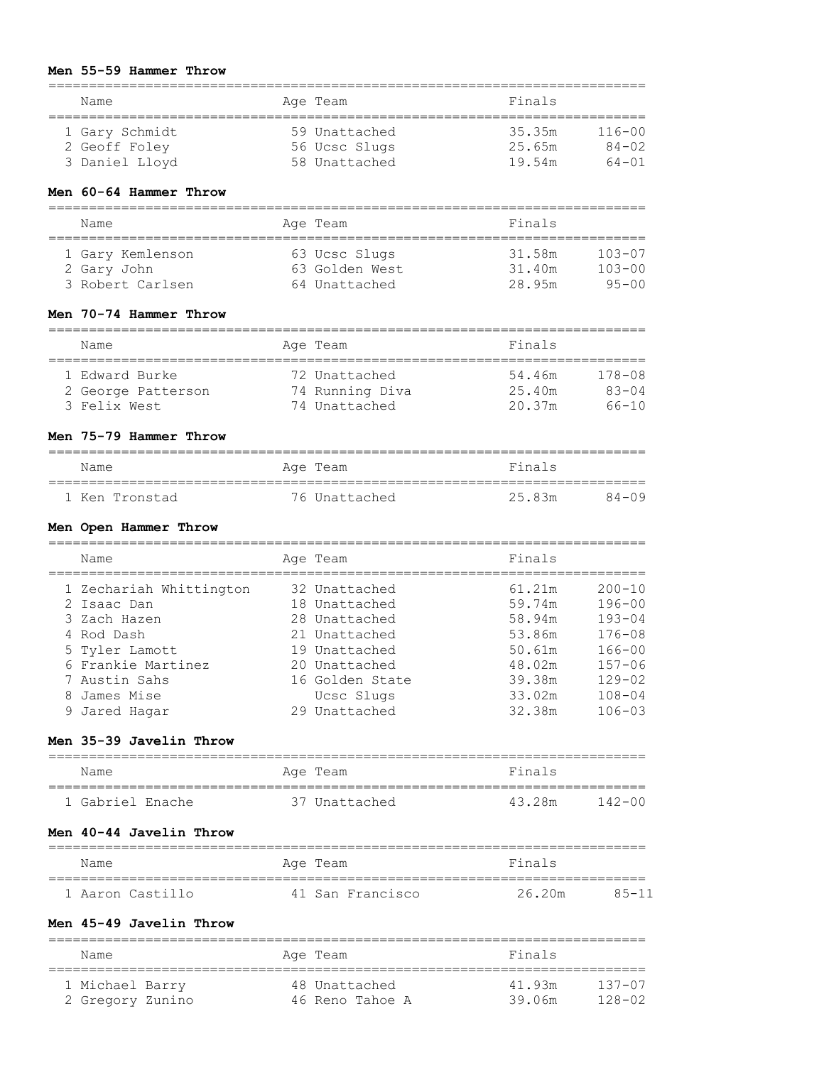#### **Men 55-59 Hammer Throw**

|   | Name<br>====================================   |                  | Age Team                       | Finals<br>__________________         |                          |
|---|------------------------------------------------|------------------|--------------------------------|--------------------------------------|--------------------------|
|   | 1 Gary Schmidt                                 |                  | 59 Unattached                  | 35.35m                               | $116 - 00$               |
|   | 2 Geoff Foley                                  |                  | 56 Ucsc Slugs                  | 25.65m                               | $84 - 02$                |
|   | 3 Daniel Lloyd                                 |                  | 58 Unattached                  | 19.54m                               | $64 - 01$                |
|   | Men 60-64 Hammer Throw                         |                  |                                |                                      |                          |
|   | Name<br>.====================                  |                  | Age Team                       | Finals                               |                          |
|   | 1 Gary Kemlenson                               |                  | 63 Ucsc Slugs                  | 31.58m                               | $103 - 07$               |
|   | 2 Gary John                                    |                  | 63 Golden West                 | 31.40m                               | $103 - 00$               |
|   | 3 Robert Carlsen                               |                  | 64 Unattached                  | 28.95m                               | $95 - 00$                |
|   | Men 70-74 Hammer Throw                         |                  |                                |                                      |                          |
|   | Name                                           |                  | Age Team                       | Finals                               |                          |
|   | 1 Edward Burke                                 |                  | 72 Unattached                  | 54.46m                               | $178 - 08$               |
|   | 2 George Patterson                             |                  | 74 Running Diva                | 25.40m                               | 83-04                    |
|   | 3 Felix West                                   |                  | 74 Unattached                  | 20.37m                               | 66-10                    |
|   | Men 75-79 Hammer Throw<br>==================== | ================ |                                | ----------------                     |                          |
|   | Name<br>====================================   |                  | Age Team                       | Finals                               |                          |
|   | 1 Ken Tronstad                                 |                  | 76 Unattached                  | 25.83m                               | $84 - 09$                |
|   | Men Open Hammer Throw                          |                  |                                |                                      |                          |
|   | Name                                           | ==============   | Age Team                       | Finals<br>========================== |                          |
|   | 1 Zechariah Whittington                        |                  | 32 Unattached                  | 61.21m                               | $200 - 10$               |
|   | 2 Isaac Dan                                    |                  | 18 Unattached                  | 59.74m                               | $196 - 00$               |
|   | 3 Zach Hazen                                   |                  | 28 Unattached                  | 58.94m                               | $193 - 04$               |
|   | 4 Rod Dash                                     |                  | 21 Unattached                  | 53.86m                               | $176 - 08$               |
| 5 | Tyler Lamott<br>6 Frankie Martinez             |                  | 19 Unattached<br>20 Unattached | 50.61m<br>48.02m                     | $166 - 00$<br>$157 - 06$ |
|   | 7 Austin Sahs                                  |                  | 16 Golden State                | 39.38m                               | $129 - 02$               |
|   | 8 James Mise                                   |                  | Ucsc Slugs                     | 33.02m                               | $108 - 04$               |
|   | 9 Jared Hagar                                  |                  | 29 Unattached                  | 32.38m                               | $106 - 03$               |
|   | Men 35-39 Javelin Throw                        |                  |                                |                                      |                          |
|   | Name                                           |                  | Age Team                       | Finals                               |                          |
|   | 1 Gabriel Enache                               |                  | 37 Unattached                  | 43.28m                               | $142 - 00$               |
|   | Men 40-44 Javelin Throw                        |                  |                                |                                      |                          |
|   | Name                                           |                  | Age Team                       | Finals                               |                          |
|   | 1 Aaron Castillo                               |                  | 41 San Francisco               | 26.20m                               | $85 - 11$                |
|   | Men 45-49 Javelin Throw                        |                  |                                |                                      |                          |
|   | Name                                           |                  | Age Team                       | Finals                               |                          |
|   | 1 Michael Barry                                |                  | 48 Unattached                  | 41.93m                               | $137 - 07$               |

2 Gregory Zunino 46 Reno Tahoe A 39.06m 128-02